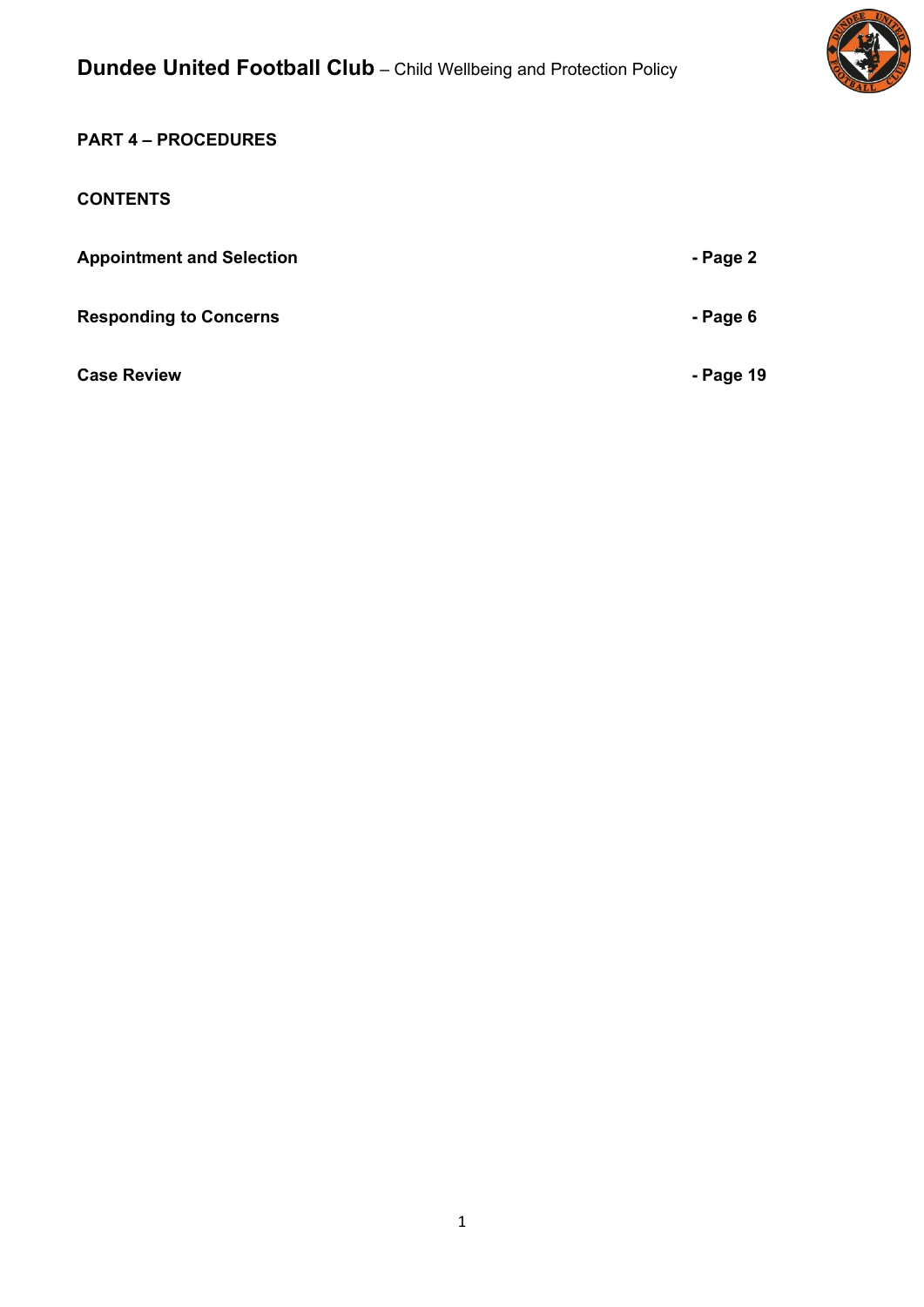

## **PART 4 – PROCEDURES**

## **CONTENTS**

| <b>Appointment and Selection</b> | - Page 2  |
|----------------------------------|-----------|
| <b>Responding to Concerns</b>    | - Page 6  |
| <b>Case Review</b>               | - Page 19 |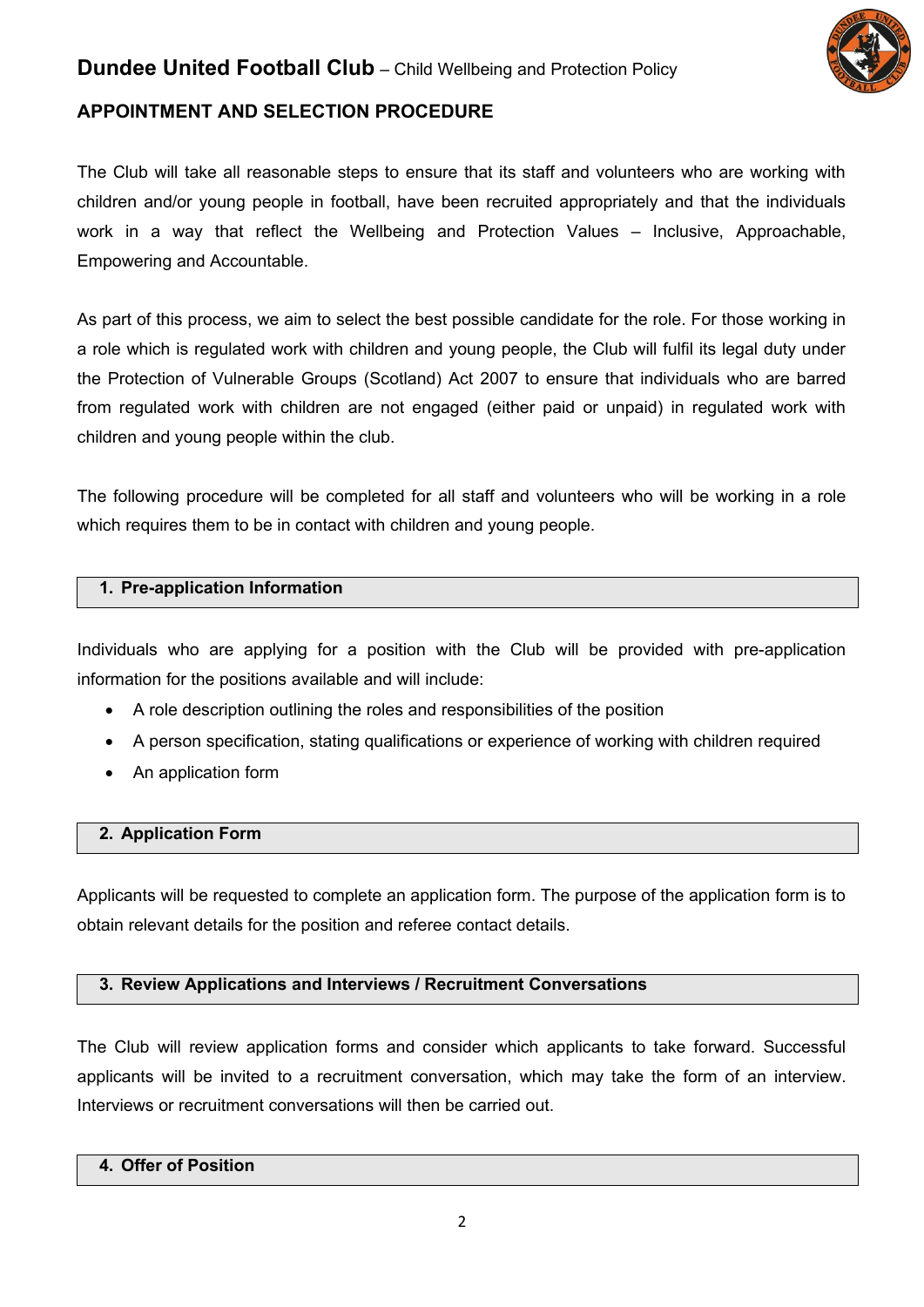

## **APPOINTMENT AND SELECTION PROCEDURE**

The Club will take all reasonable steps to ensure that its staff and volunteers who are working with children and/or young people in football, have been recruited appropriately and that the individuals work in a way that reflect the Wellbeing and Protection Values – Inclusive, Approachable, Empowering and Accountable.

As part of this process, we aim to select the best possible candidate for the role. For those working in a role which is regulated work with children and young people, the Club will fulfil its legal duty under the Protection of Vulnerable Groups (Scotland) Act 2007 to ensure that individuals who are barred from regulated work with children are not engaged (either paid or unpaid) in regulated work with children and young people within the club.

The following procedure will be completed for all staff and volunteers who will be working in a role which requires them to be in contact with children and young people.

#### **1. Pre-application Information**

Individuals who are applying for a position with the Club will be provided with pre-application information for the positions available and will include:

- A role description outlining the roles and responsibilities of the position
- A person specification, stating qualifications or experience of working with children required
- An application form

## **2. Application Form**

Applicants will be requested to complete an application form. The purpose of the application form is to obtain relevant details for the position and referee contact details.

## **3. Review Applications and Interviews / Recruitment Conversations**

The Club will review application forms and consider which applicants to take forward. Successful applicants will be invited to a recruitment conversation, which may take the form of an interview. Interviews or recruitment conversations will then be carried out.

## **4. Offer of Position**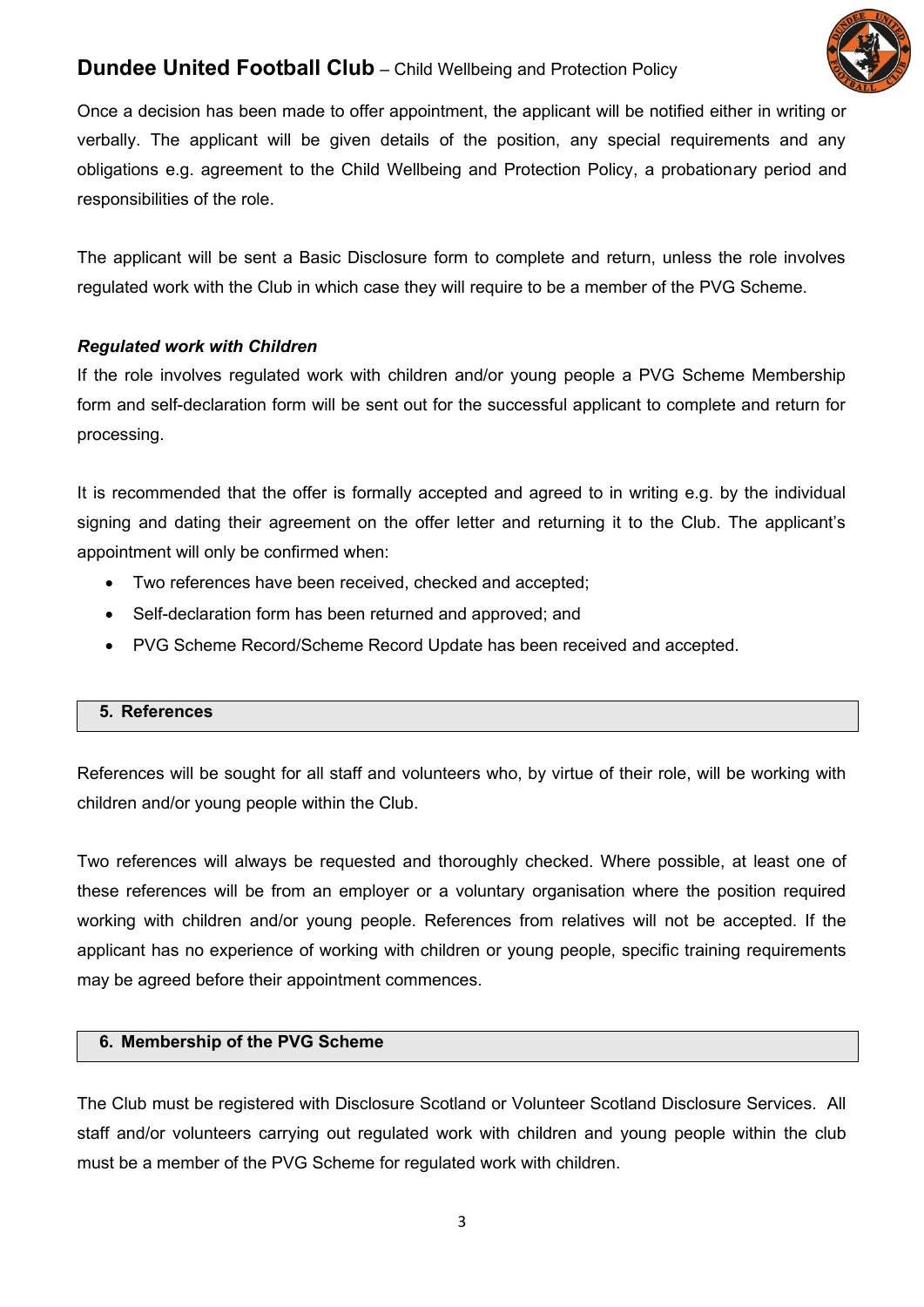

Once a decision has been made to offer appointment, the applicant will be notified either in writing or verbally. The applicant will be given details of the position, any special requirements and any obligations e.g. agreement to the Child Wellbeing and Protection Policy, a probationary period and responsibilities of the role.

The applicant will be sent a Basic Disclosure form to complete and return, unless the role involves regulated work with the Club in which case they will require to be a member of the PVG Scheme.

## *Regulated work with Children*

If the role involves regulated work with children and/or young people a PVG Scheme Membership form and self-declaration form will be sent out for the successful applicant to complete and return for processing.

It is recommended that the offer is formally accepted and agreed to in writing e.g. by the individual signing and dating their agreement on the offer letter and returning it to the Club. The applicant's appointment will only be confirmed when:

- Two references have been received, checked and accepted;
- Self-declaration form has been returned and approved; and
- PVG Scheme Record/Scheme Record Update has been received and accepted.

## **5. References**

References will be sought for all staff and volunteers who, by virtue of their role, will be working with children and/or young people within the Club.

Two references will always be requested and thoroughly checked. Where possible, at least one of these references will be from an employer or a voluntary organisation where the position required working with children and/or young people. References from relatives will not be accepted. If the applicant has no experience of working with children or young people, specific training requirements may be agreed before their appointment commences.

## **6. Membership of the PVG Scheme**

The Club must be registered with Disclosure Scotland or Volunteer Scotland Disclosure Services. All staff and/or volunteers carrying out regulated work with children and young people within the club must be a member of the PVG Scheme for regulated work with children.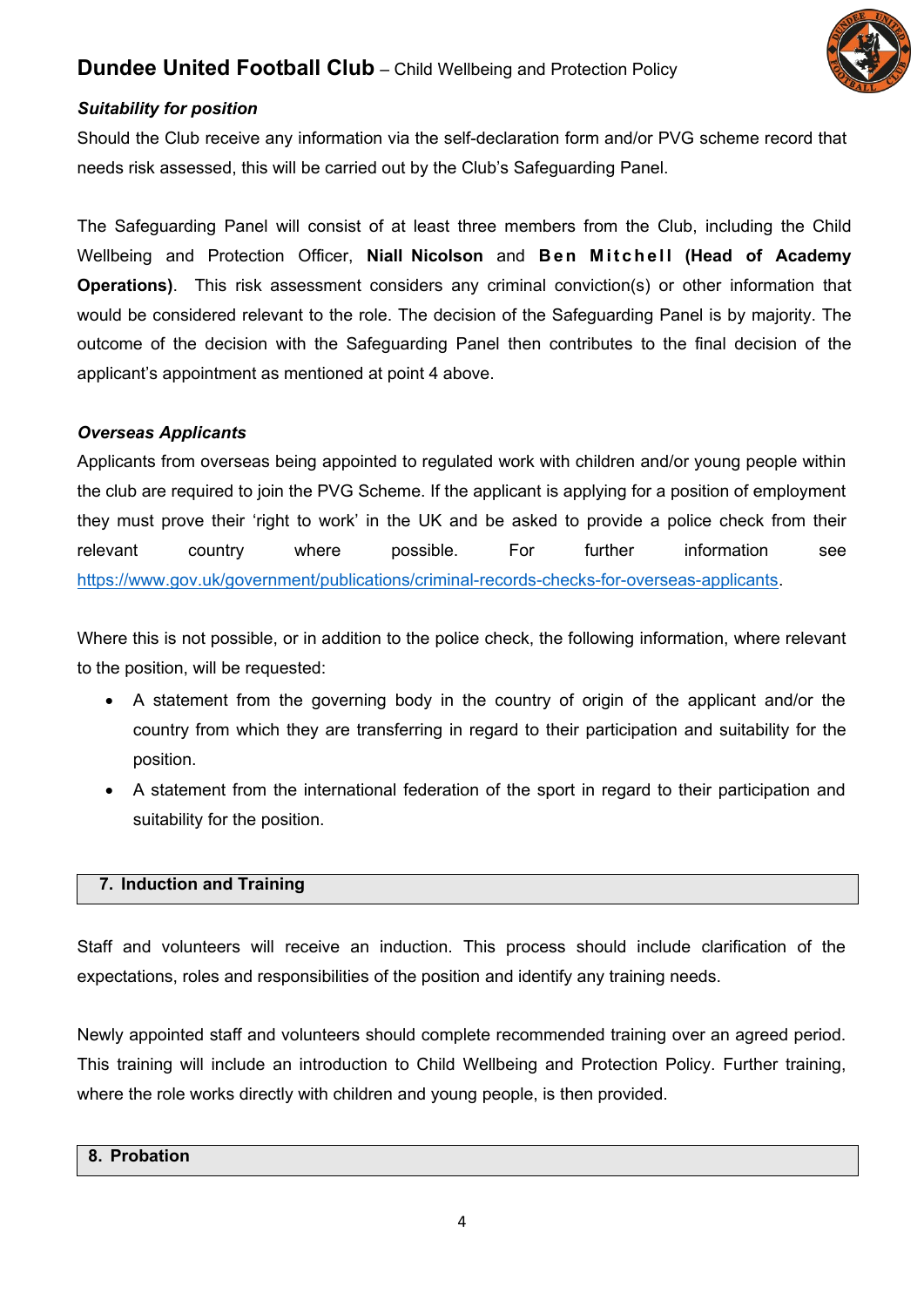

## *Suitability for position*

Should the Club receive any information via the self-declaration form and/or PVG scheme record that needs risk assessed, this will be carried out by the Club's Safeguarding Panel.

The Safeguarding Panel will consist of at least three members from the Club, including the Child Wellbeing and Protection Officer, **Niall Nicolson** and **Ben Mitchell (Head of Academy Operations)**. This risk assessment considers any criminal conviction(s) or other information that would be considered relevant to the role. The decision of the Safeguarding Panel is by majority. The outcome of the decision with the Safeguarding Panel then contributes to the final decision of the applicant's appointment as mentioned at point 4 above.

#### *Overseas Applicants*

Applicants from overseas being appointed to regulated work with children and/or young people within the club are required to join the PVG Scheme. If the applicant is applying for a position of employment they must prove their 'right to work' in the UK and be asked to provide a police check from their relevant country where possible. For further information see [https://www.gov.uk/government/publications/criminal-records-checks-for-overseas-applicants.](https://www.gov.uk/government/publications/criminal-records-checks-for-overseas-applicants)

Where this is not possible, or in addition to the police check, the following information, where relevant to the position, will be requested:

- A statement from the governing body in the country of origin of the applicant and/or the country from which they are transferring in regard to their participation and suitability for the position.
- A statement from the international federation of the sport in regard to their participation and suitability for the position.

#### **7. Induction and Training**

Staff and volunteers will receive an induction. This process should include clarification of the expectations, roles and responsibilities of the position and identify any training needs.

Newly appointed staff and volunteers should complete recommended training over an agreed period. This training will include an introduction to Child Wellbeing and Protection Policy. Further training, where the role works directly with children and young people, is then provided.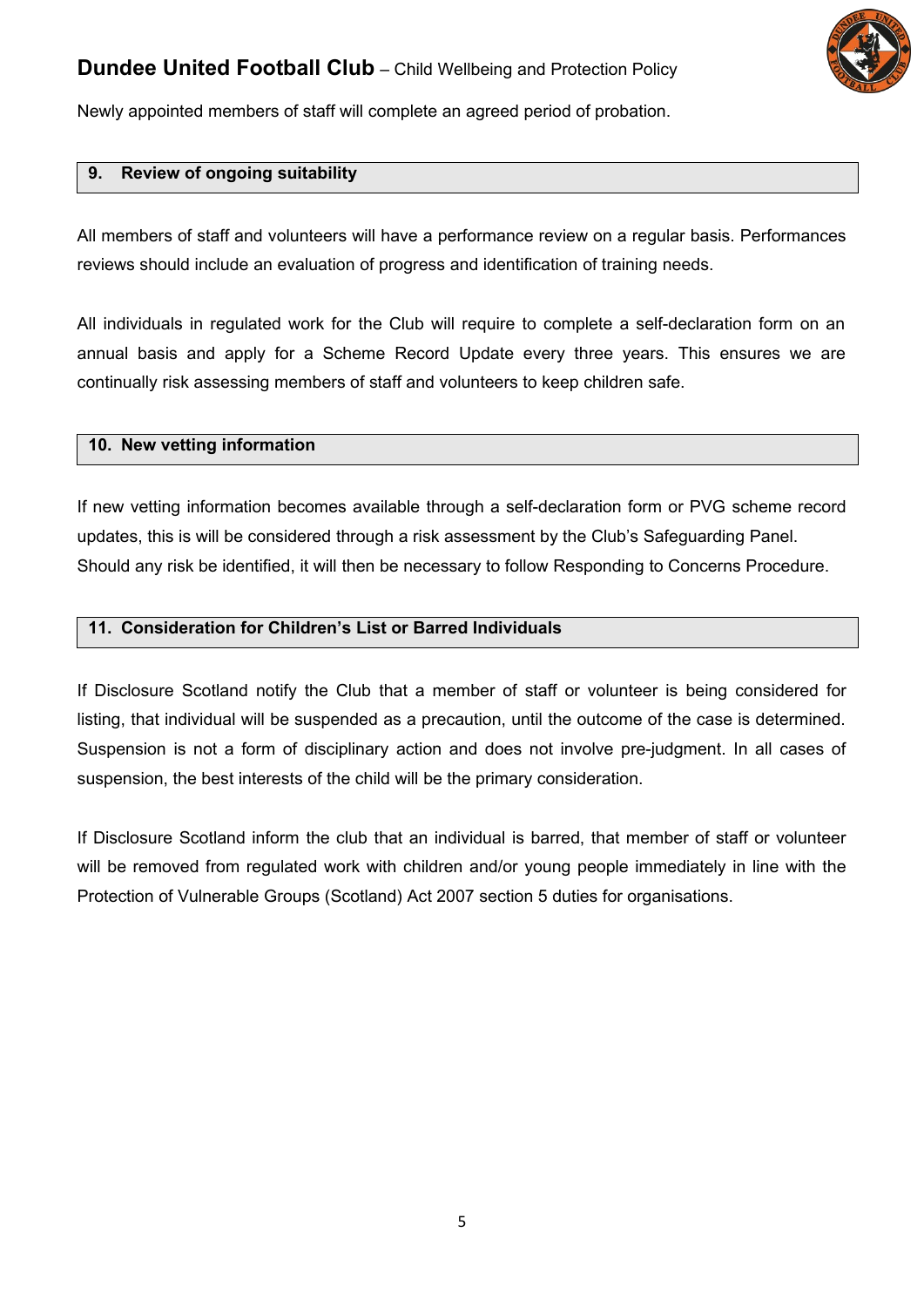

Newly appointed members of staff will complete an agreed period of probation.

#### **9. Review of ongoing suitability**

All members of staff and volunteers will have a performance review on a regular basis. Performances reviews should include an evaluation of progress and identification of training needs.

All individuals in regulated work for the Club will require to complete a self-declaration form on an annual basis and apply for a Scheme Record Update every three years. This ensures we are continually risk assessing members of staff and volunteers to keep children safe.

#### **10. New vetting information**

If new vetting information becomes available through a self-declaration form or PVG scheme record updates, this is will be considered through a risk assessment by the Club's Safeguarding Panel. Should any risk be identified, it will then be necessary to follow Responding to Concerns Procedure.

#### **11. Consideration for Children's List or Barred Individuals**

If Disclosure Scotland notify the Club that a member of staff or volunteer is being considered for listing, that individual will be suspended as a precaution, until the outcome of the case is determined. Suspension is not a form of disciplinary action and does not involve pre-judgment. In all cases of suspension, the best interests of the child will be the primary consideration.

If Disclosure Scotland inform the club that an individual is barred, that member of staff or volunteer will be removed from regulated work with children and/or young people immediately in line with the Protection of Vulnerable Groups (Scotland) Act 2007 section 5 duties for organisations.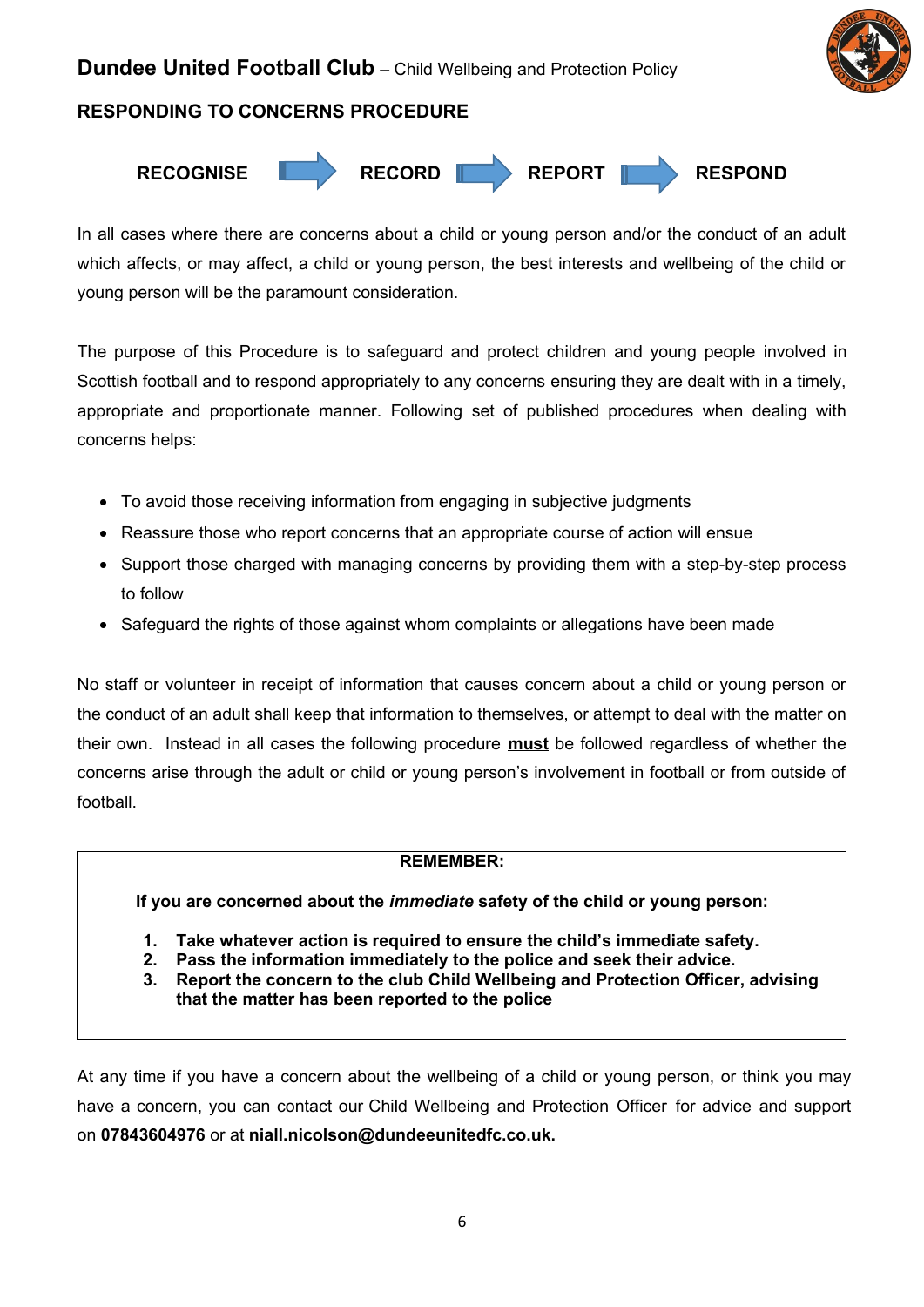

## **RESPONDING TO CONCERNS PROCEDURE**



In all cases where there are concerns about a child or young person and/or the conduct of an adult which affects, or may affect, a child or young person, the best interests and wellbeing of the child or young person will be the paramount consideration.

The purpose of this Procedure is to safeguard and protect children and young people involved in Scottish football and to respond appropriately to any concerns ensuring they are dealt with in a timely, appropriate and proportionate manner. Following set of published procedures when dealing with concerns helps:

- To avoid those receiving information from engaging in subjective judgments
- Reassure those who report concerns that an appropriate course of action will ensue
- Support those charged with managing concerns by providing them with a step-by-step process to follow
- Safeguard the rights of those against whom complaints or allegations have been made

No staff or volunteer in receipt of information that causes concern about a child or young person or the conduct of an adult shall keep that information to themselves, or attempt to deal with the matter on their own. Instead in all cases the following procedure **must** be followed regardless of whether the concerns arise through the adult or child or young person's involvement in football or from outside of football.

## **REMEMBER:**

**If you are concerned about the** *immediate* **safety of the child or young person:**

- **1. Take whatever action is required to ensure the child's immediate safety.**
- **2. Pass the information immediately to the police and seek their advice.**
- **3. Report the concern to the club Child Wellbeing and Protection Officer, advising that the matter has been reported to the police**

At any time if you have a concern about the wellbeing of a child or young person, or think you may have a concern, you can contact our Child Wellbeing and Protection Officer for advice and support on **07843604976** or at **niall.nicolson@dundeeunitedfc.co.uk.**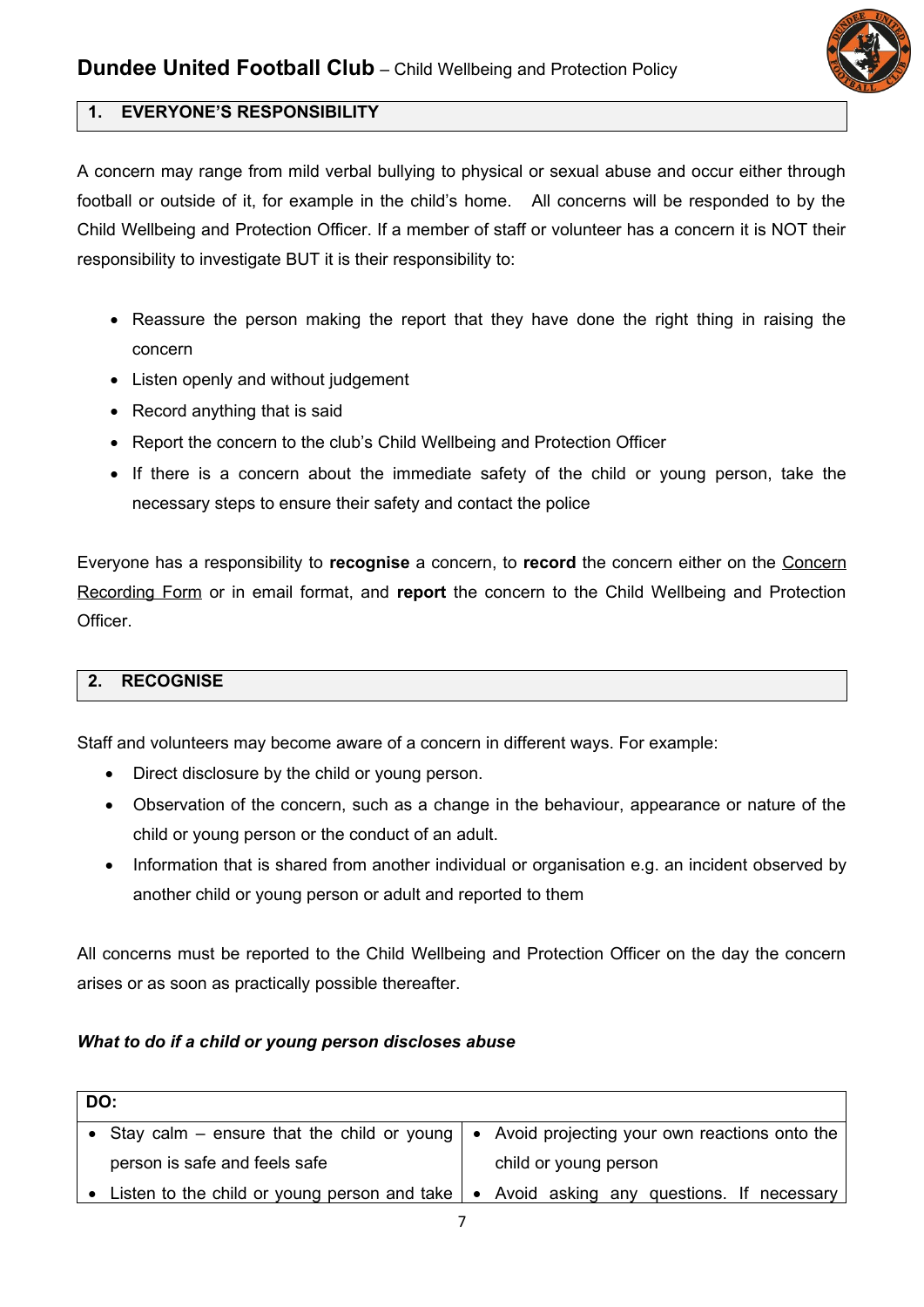

## **1. EVERYONE'S RESPONSIBILITY**

A concern may range from mild verbal bullying to physical or sexual abuse and occur either through football or outside of it, for example in the child's home. All concerns will be responded to by the Child Wellbeing and Protection Officer. If a member of staff or volunteer has a concern it is NOT their responsibility to investigate BUT it is their responsibility to:

- Reassure the person making the report that they have done the right thing in raising the concern
- Listen openly and without judgement
- Record anything that is said
- Report the concern to the club's Child Wellbeing and Protection Officer
- If there is a concern about the immediate safety of the child or young person, take the necessary steps to ensure their safety and contact the police

Everyone has a responsibility to **recognise** a concern, to **record** the concern either on the Concern Recording Form or in email format, and **report** the concern to the Child Wellbeing and Protection Officer.

## **2. RECOGNISE**

Staff and volunteers may become aware of a concern in different ways. For example:

- Direct disclosure by the child or young person.
- Observation of the concern, such as a change in the behaviour, appearance or nature of the child or young person or the conduct of an adult.
- Information that is shared from another individual or organisation e.g. an incident observed by another child or young person or adult and reported to them

All concerns must be reported to the Child Wellbeing and Protection Officer on the day the concern arises or as soon as practically possible thereafter.

## *What to do if a child or young person discloses abuse*

| DO: |                                                                                                                  |  |                       |  |
|-----|------------------------------------------------------------------------------------------------------------------|--|-----------------------|--|
|     | • Stay calm – ensure that the child or young $  \bullet \text{ Avoid projecting your own reactions onto the }  $ |  |                       |  |
|     | person is safe and feels safe                                                                                    |  | child or young person |  |
|     | • Listen to the child or young person and take $\vert \bullet \vert$ Avoid asking any questions. If necessary    |  |                       |  |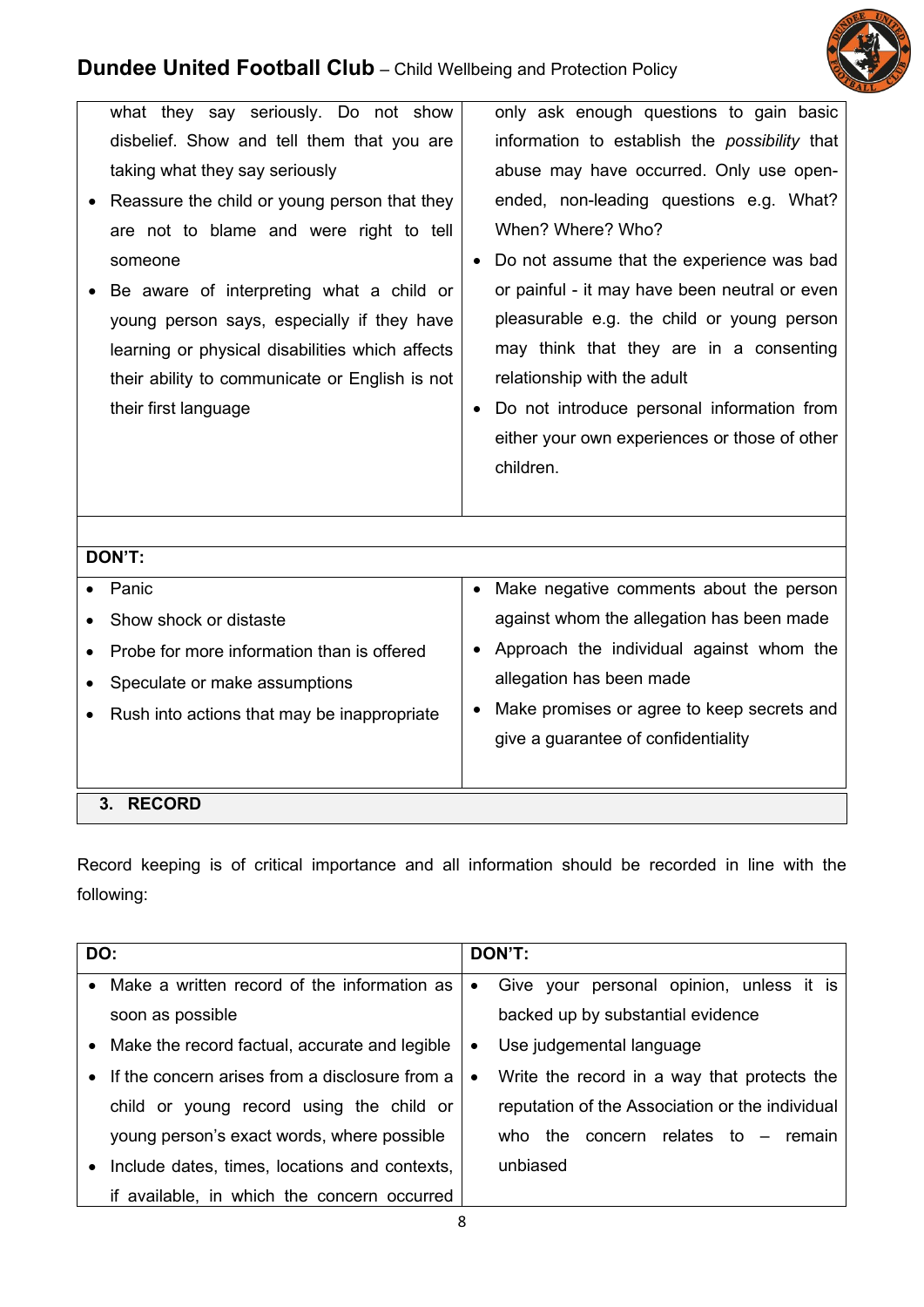

| what they say seriously. Do not show<br>disbelief. Show and tell them that you are<br>taking what they say seriously<br>Reassure the child or young person that they<br>are not to blame and were right to tell<br>someone | only ask enough questions to gain basic<br>information to establish the <i>possibility</i> that<br>abuse may have occurred. Only use open-<br>ended, non-leading questions e.g. What?<br>When? Where? Who?<br>Do not assume that the experience was bad                                        |  |  |  |  |
|----------------------------------------------------------------------------------------------------------------------------------------------------------------------------------------------------------------------------|------------------------------------------------------------------------------------------------------------------------------------------------------------------------------------------------------------------------------------------------------------------------------------------------|--|--|--|--|
| Be aware of interpreting what a child or<br>young person says, especially if they have<br>learning or physical disabilities which affects<br>their ability to communicate or English is not<br>their first language        | or painful - it may have been neutral or even<br>pleasurable e.g. the child or young person<br>may think that they are in a consenting<br>relationship with the adult<br>Do not introduce personal information from<br>$\bullet$<br>either your own experiences or those of other<br>children. |  |  |  |  |
| DON'T:                                                                                                                                                                                                                     |                                                                                                                                                                                                                                                                                                |  |  |  |  |
| Panic<br>Show shock or distaste<br>Probe for more information than is offered<br>Speculate or make assumptions<br>Rush into actions that may be inappropriate                                                              | Make negative comments about the person<br>$\bullet$<br>against whom the allegation has been made<br>Approach the individual against whom the<br>allegation has been made<br>Make promises or agree to keep secrets and<br>$\bullet$<br>give a guarantee of confidentiality                    |  |  |  |  |
| 3. RECORD                                                                                                                                                                                                                  |                                                                                                                                                                                                                                                                                                |  |  |  |  |

Record keeping is of critical importance and all information should be recorded in line with the following:

|           | DO:                                             | DON'T:    |                                                 |
|-----------|-------------------------------------------------|-----------|-------------------------------------------------|
| $\bullet$ | Make a written record of the information as     | $\bullet$ | Give your personal opinion, unless it is        |
|           | soon as possible                                |           | backed up by substantial evidence               |
|           | • Make the record factual, accurate and legible | $\bullet$ | Use judgemental language                        |
| $\bullet$ | If the concern arises from a disclosure from a  | $\bullet$ | Write the record in a way that protects the     |
|           | child or young record using the child or        |           | reputation of the Association or the individual |
|           | young person's exact words, where possible      |           | concern relates to $-$ remain<br>who the        |
| $\bullet$ | Include dates, times, locations and contexts,   |           | unbiased                                        |
|           | if available, in which the concern occurred     |           |                                                 |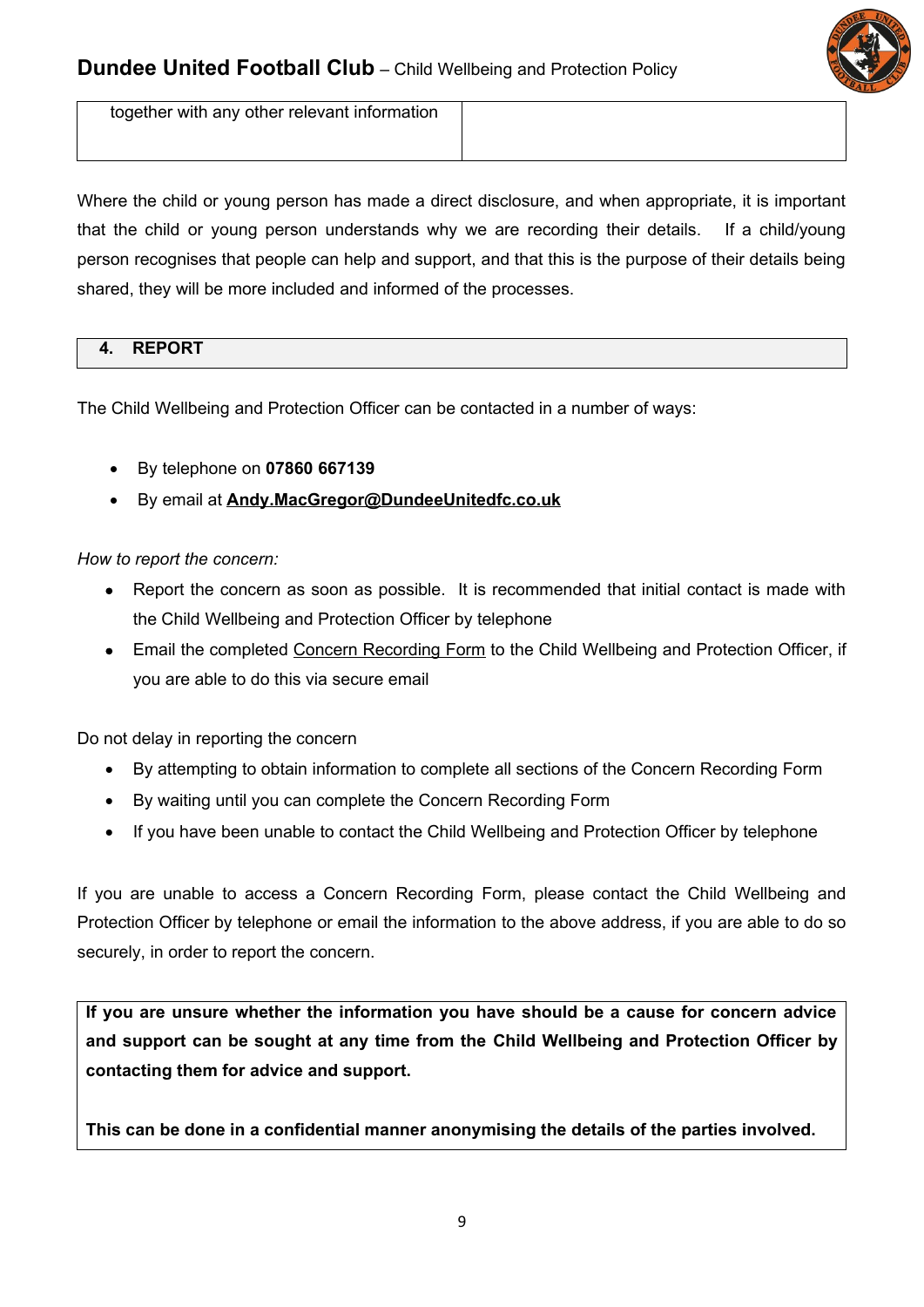

together with any other relevant information

Where the child or young person has made a direct disclosure, and when appropriate, it is important that the child or young person understands why we are recording their details. If a child/young person recognises that people can help and support, and that this is the purpose of their details being shared, they will be more included and informed of the processes.

# **4. REPORT**

The Child Wellbeing and Protection Officer can be contacted in a number of ways:

- By telephone on **07860 667139**
- By email at **Andy.MacGregor@DundeeUnitedfc.co.uk**

#### *How to report the concern:*

- Report the concern as soon as possible. It is recommended that initial contact is made with the Child Wellbeing and Protection Officer by telephone
- Email the completed Concern Recording Form to the Child Wellbeing and Protection Officer, if you are able to do this via secure email

Do not delay in reporting the concern

- By attempting to obtain information to complete all sections of the Concern Recording Form
- By waiting until you can complete the Concern Recording Form
- If you have been unable to contact the Child Wellbeing and Protection Officer by telephone

If you are unable to access a Concern Recording Form, please contact the Child Wellbeing and Protection Officer by telephone or email the information to the above address, if you are able to do so securely, in order to report the concern.

**If you are unsure whether the information you have should be a cause for concern advice and support can be sought at any time from the Child Wellbeing and Protection Officer by contacting them for advice and support.** 

**This can be done in a confidential manner anonymising the details of the parties involved.**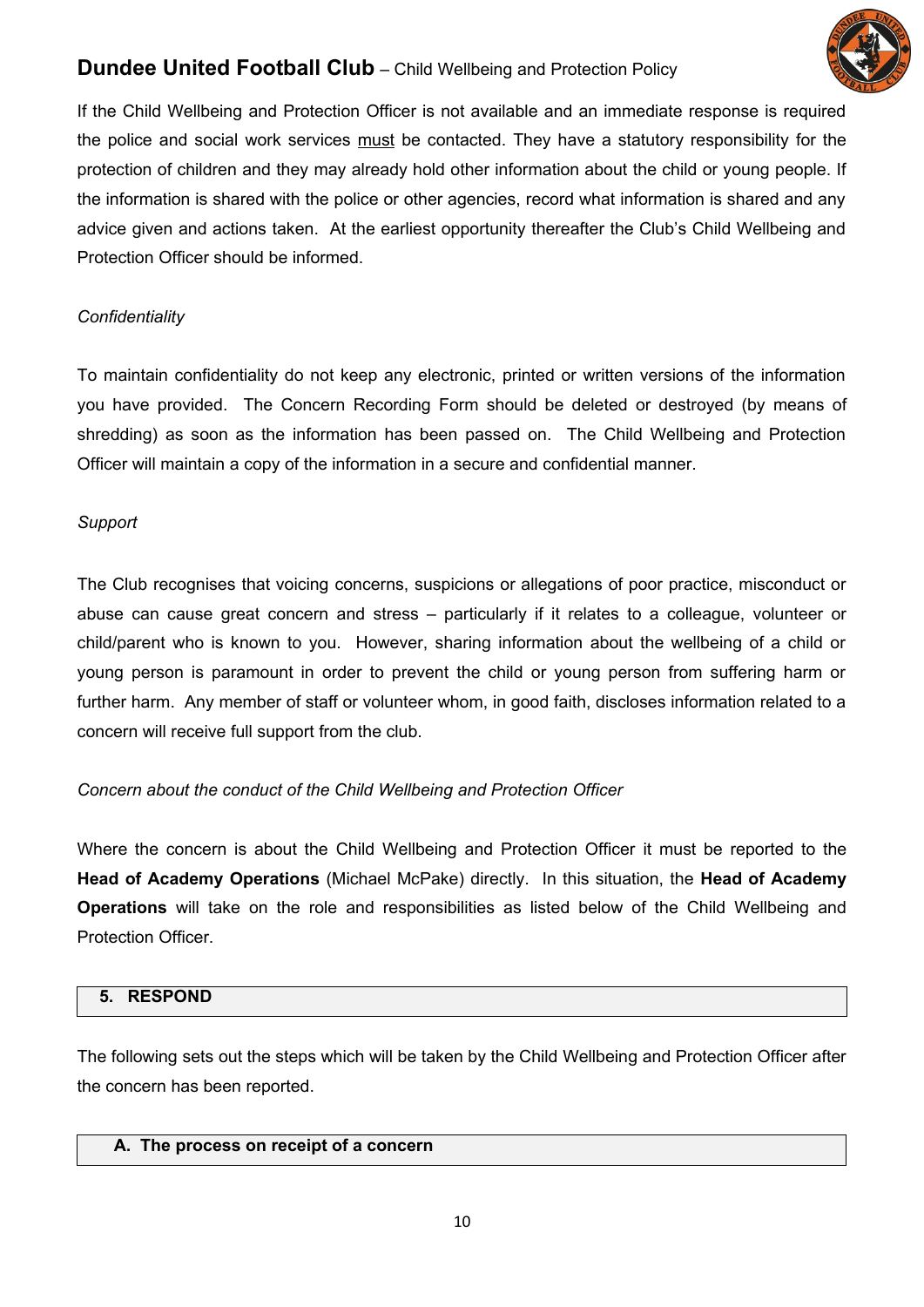

If the Child Wellbeing and Protection Officer is not available and an immediate response is required the police and social work services must be contacted. They have a statutory responsibility for the protection of children and they may already hold other information about the child or young people. If the information is shared with the police or other agencies, record what information is shared and any advice given and actions taken. At the earliest opportunity thereafter the Club's Child Wellbeing and Protection Officer should be informed.

## *Confidentiality*

To maintain confidentiality do not keep any electronic, printed or written versions of the information you have provided. The Concern Recording Form should be deleted or destroyed (by means of shredding) as soon as the information has been passed on. The Child Wellbeing and Protection Officer will maintain a copy of the information in a secure and confidential manner.

## *Support*

The Club recognises that voicing concerns, suspicions or allegations of poor practice, misconduct or abuse can cause great concern and stress – particularly if it relates to a colleague, volunteer or child/parent who is known to you. However, sharing information about the wellbeing of a child or young person is paramount in order to prevent the child or young person from suffering harm or further harm. Any member of staff or volunteer whom, in good faith, discloses information related to a concern will receive full support from the club.

## *Concern about the conduct of the Child Wellbeing and Protection Officer*

Where the concern is about the Child Wellbeing and Protection Officer it must be reported to the **Head of Academy Operations** (Michael McPake) directly*.* In this situation, the **Head of Academy Operations** will take on the role and responsibilities as listed below of the Child Wellbeing and Protection Officer.

## **5. RESPOND**

The following sets out the steps which will be taken by the Child Wellbeing and Protection Officer after the concern has been reported.

## **A. The process on receipt of a concern**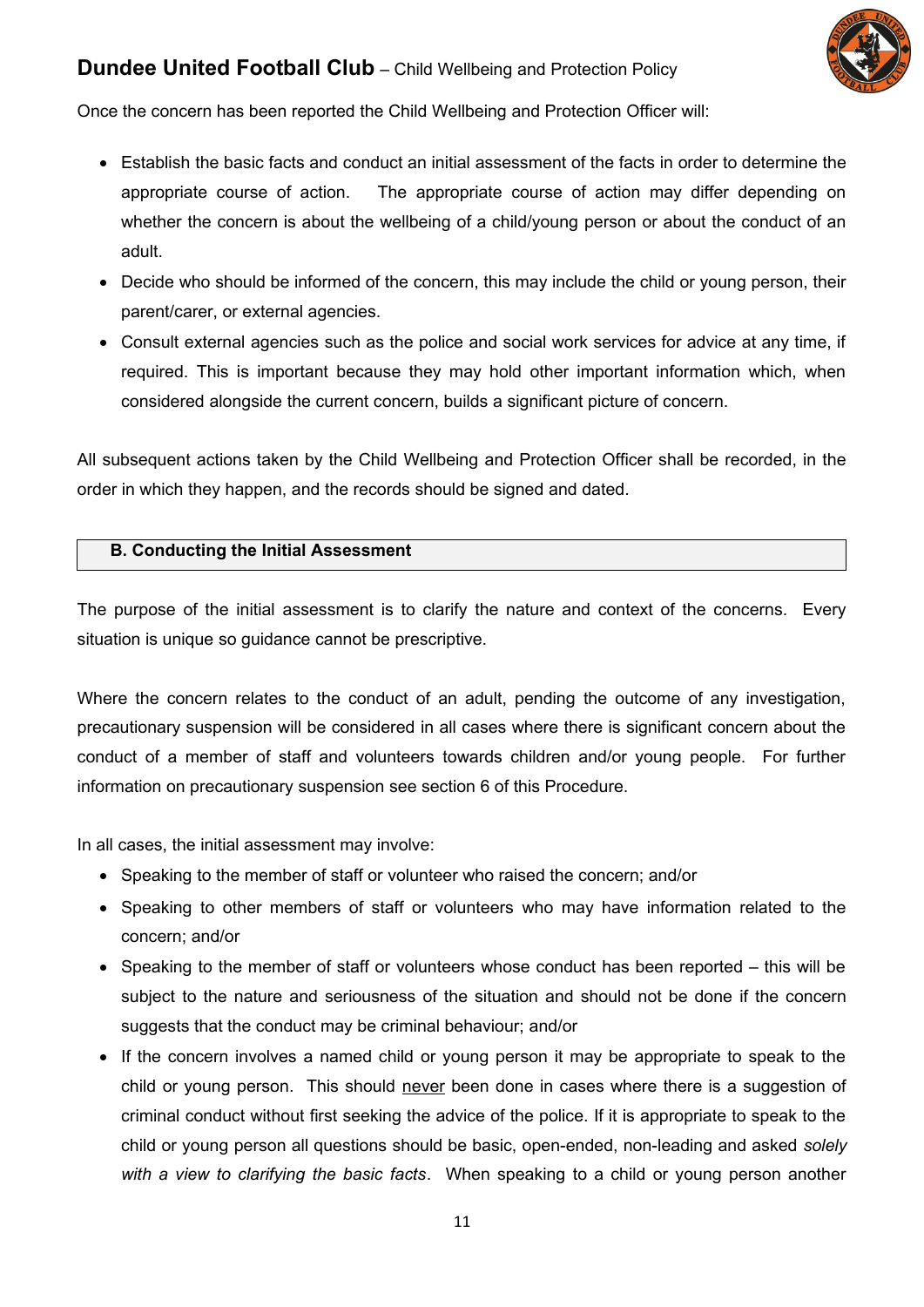

Once the concern has been reported the Child Wellbeing and Protection Officer will:

- Establish the basic facts and conduct an initial assessment of the facts in order to determine the appropriate course of action. The appropriate course of action may differ depending on whether the concern is about the wellbeing of a child/young person or about the conduct of an adult.
- Decide who should be informed of the concern, this may include the child or young person, their parent/carer, or external agencies.
- Consult external agencies such as the police and social work services for advice at any time, if required. This is important because they may hold other important information which, when considered alongside the current concern, builds a significant picture of concern.

All subsequent actions taken by the Child Wellbeing and Protection Officer shall be recorded, in the order in which they happen, and the records should be signed and dated.

#### **B. Conducting the Initial Assessment**

The purpose of the initial assessment is to clarify the nature and context of the concerns. Every situation is unique so guidance cannot be prescriptive.

Where the concern relates to the conduct of an adult, pending the outcome of any investigation, precautionary suspension will be considered in all cases where there is significant concern about the conduct of a member of staff and volunteers towards children and/or young people. For further information on precautionary suspension see section 6 of this Procedure.

In all cases, the initial assessment may involve:

- Speaking to the member of staff or volunteer who raised the concern; and/or
- Speaking to other members of staff or volunteers who may have information related to the concern; and/or
- $\bullet$  Speaking to the member of staff or volunteers whose conduct has been reported  $-$  this will be subject to the nature and seriousness of the situation and should not be done if the concern suggests that the conduct may be criminal behaviour; and/or
- If the concern involves a named child or young person it may be appropriate to speak to the child or young person. This should never been done in cases where there is a suggestion of criminal conduct without first seeking the advice of the police. If it is appropriate to speak to the child or young person all questions should be basic, open-ended, non-leading and asked *solely with a view to clarifying the basic facts*. When speaking to a child or young person another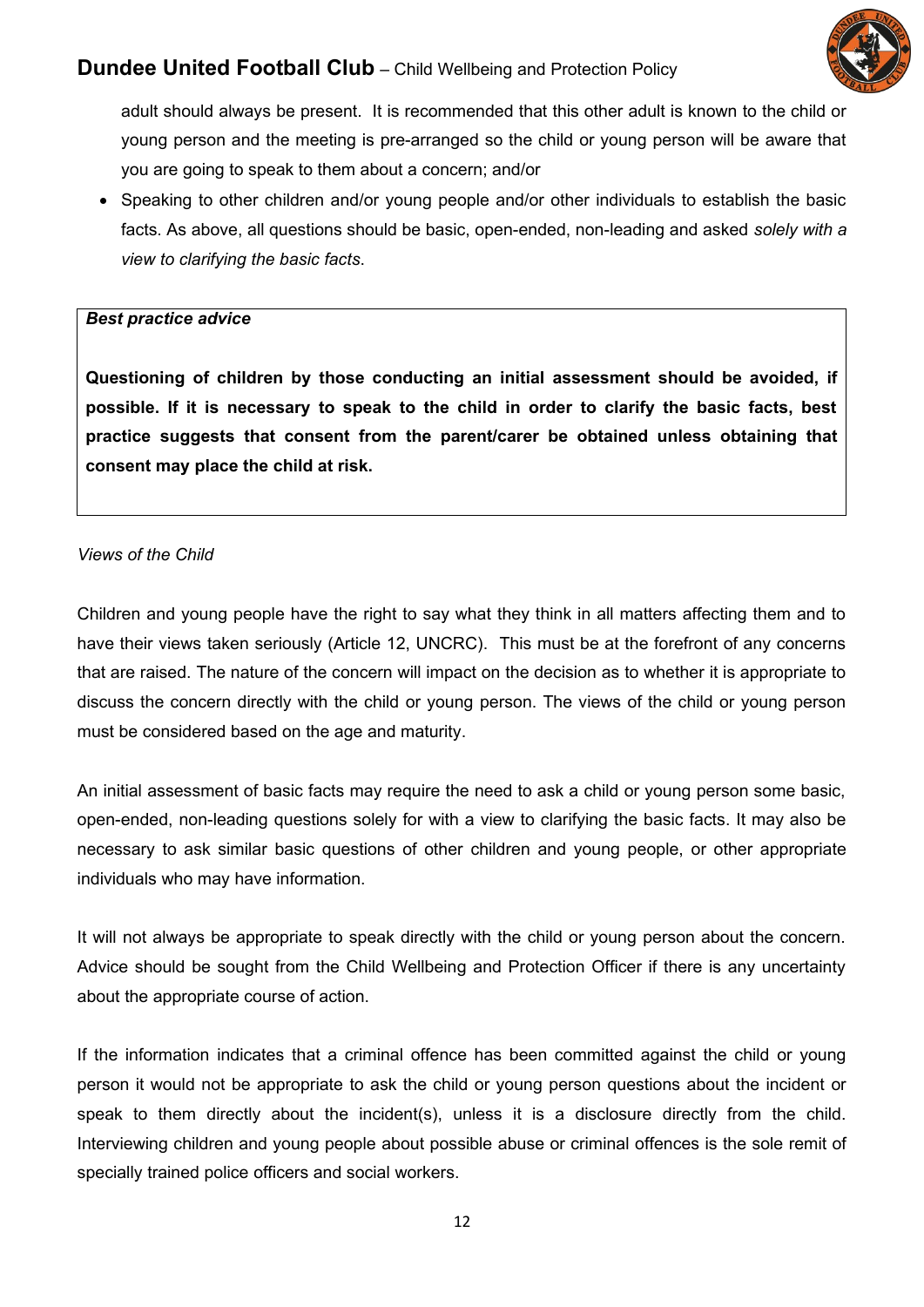

adult should always be present. It is recommended that this other adult is known to the child or young person and the meeting is pre-arranged so the child or young person will be aware that you are going to speak to them about a concern; and/or

• Speaking to other children and/or young people and/or other individuals to establish the basic facts. As above, all questions should be basic, open-ended, non-leading and asked *solely with a view to clarifying the basic facts*.

#### *Best practice advice*

**Questioning of children by those conducting an initial assessment should be avoided, if possible. If it is necessary to speak to the child in order to clarify the basic facts, best practice suggests that consent from the parent/carer be obtained unless obtaining that consent may place the child at risk.**

## *Views of the Child*

Children and young people have the right to say what they think in all matters affecting them and to have their views taken seriously (Article 12, UNCRC). This must be at the forefront of any concerns that are raised. The nature of the concern will impact on the decision as to whether it is appropriate to discuss the concern directly with the child or young person. The views of the child or young person must be considered based on the age and maturity.

An initial assessment of basic facts may require the need to ask a child or young person some basic, open-ended, non-leading questions solely for with a view to clarifying the basic facts. It may also be necessary to ask similar basic questions of other children and young people, or other appropriate individuals who may have information.

It will not always be appropriate to speak directly with the child or young person about the concern. Advice should be sought from the Child Wellbeing and Protection Officer if there is any uncertainty about the appropriate course of action.

If the information indicates that a criminal offence has been committed against the child or young person it would not be appropriate to ask the child or young person questions about the incident or speak to them directly about the incident(s), unless it is a disclosure directly from the child. Interviewing children and young people about possible abuse or criminal offences is the sole remit of specially trained police officers and social workers.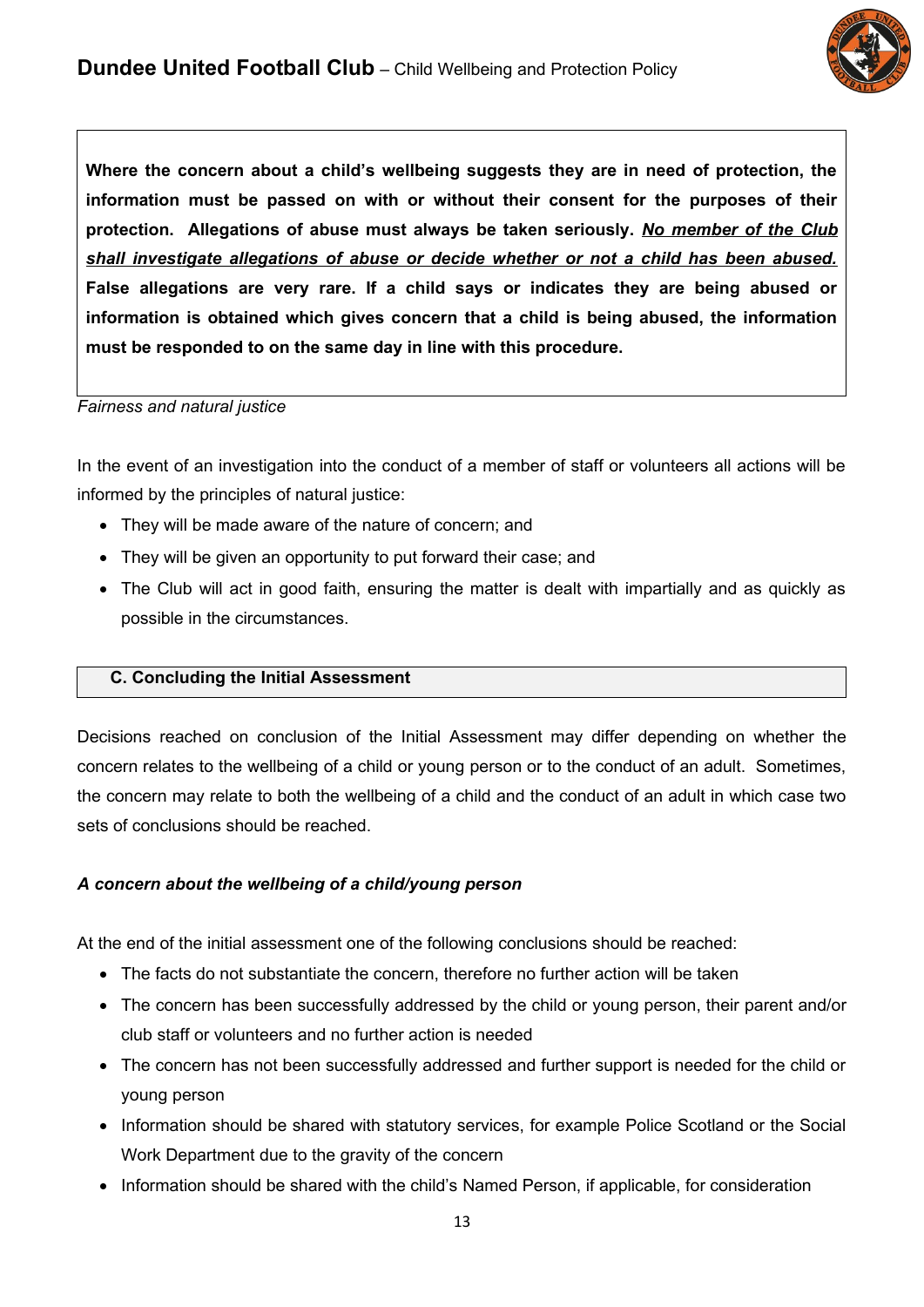

**Where the concern about a child's wellbeing suggests they are in need of protection, the information must be passed on with or without their consent for the purposes of their protection. Allegations of abuse must always be taken seriously.** *No member of the Club shall investigate allegations of abuse or decide whether or not a child has been abused.* **False allegations are very rare. If a child says or indicates they are being abused or information is obtained which gives concern that a child is being abused, the information must be responded to on the same day in line with this procedure.** 

#### *Fairness and natural justice*

In the event of an investigation into the conduct of a member of staff or volunteers all actions will be informed by the principles of natural justice:

- They will be made aware of the nature of concern; and
- They will be given an opportunity to put forward their case; and
- The Club will act in good faith, ensuring the matter is dealt with impartially and as quickly as possible in the circumstances.

## **C. Concluding the Initial Assessment**

Decisions reached on conclusion of the Initial Assessment may differ depending on whether the concern relates to the wellbeing of a child or young person or to the conduct of an adult. Sometimes, the concern may relate to both the wellbeing of a child and the conduct of an adult in which case two sets of conclusions should be reached.

## *A concern about the wellbeing of a child/young person*

At the end of the initial assessment one of the following conclusions should be reached:

- The facts do not substantiate the concern, therefore no further action will be taken
- The concern has been successfully addressed by the child or young person, their parent and/or club staff or volunteers and no further action is needed
- The concern has not been successfully addressed and further support is needed for the child or young person
- Information should be shared with statutory services, for example Police Scotland or the Social Work Department due to the gravity of the concern
- Information should be shared with the child's Named Person, if applicable, for consideration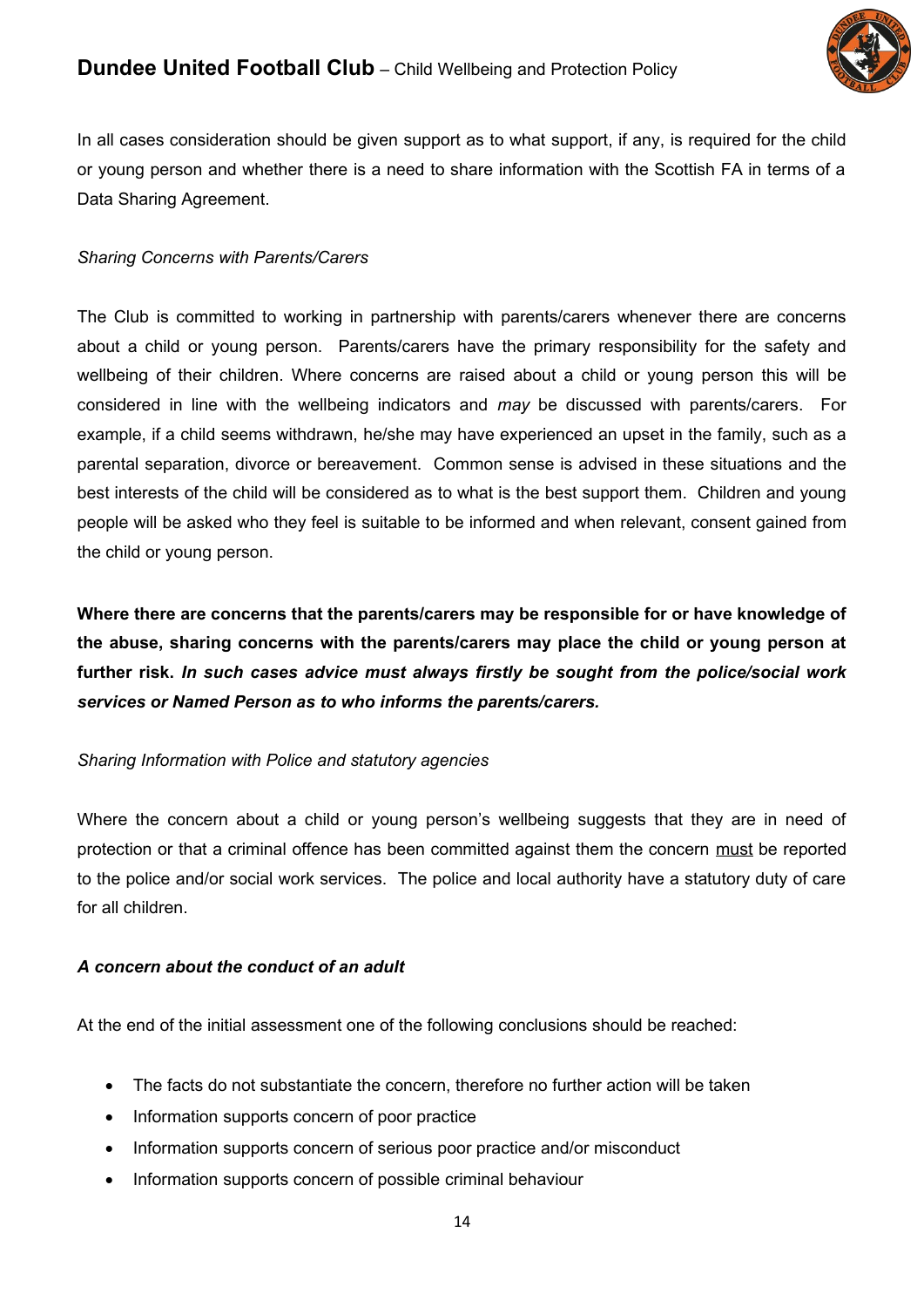

In all cases consideration should be given support as to what support, if any, is required for the child or young person and whether there is a need to share information with the Scottish FA in terms of a Data Sharing Agreement.

## *Sharing Concerns with Parents/Carers*

The Club is committed to working in partnership with parents/carers whenever there are concerns about a child or young person. Parents/carers have the primary responsibility for the safety and wellbeing of their children. Where concerns are raised about a child or young person this will be considered in line with the wellbeing indicators and *may* be discussed with parents/carers. For example, if a child seems withdrawn, he/she may have experienced an upset in the family, such as a parental separation, divorce or bereavement. Common sense is advised in these situations and the best interests of the child will be considered as to what is the best support them. Children and young people will be asked who they feel is suitable to be informed and when relevant, consent gained from the child or young person.

**Where there are concerns that the parents/carers may be responsible for or have knowledge of the abuse, sharing concerns with the parents/carers may place the child or young person at further risk.** *In such cases advice must always firstly be sought from the police/social work services or Named Person as to who informs the parents/carers.*

## *Sharing Information with Police and statutory agencies*

Where the concern about a child or young person's wellbeing suggests that they are in need of protection or that a criminal offence has been committed against them the concern must be reported to the police and/or social work services. The police and local authority have a statutory duty of care for all children.

## *A concern about the conduct of an adult*

At the end of the initial assessment one of the following conclusions should be reached:

- The facts do not substantiate the concern, therefore no further action will be taken
- Information supports concern of poor practice
- Information supports concern of serious poor practice and/or misconduct
- Information supports concern of possible criminal behaviour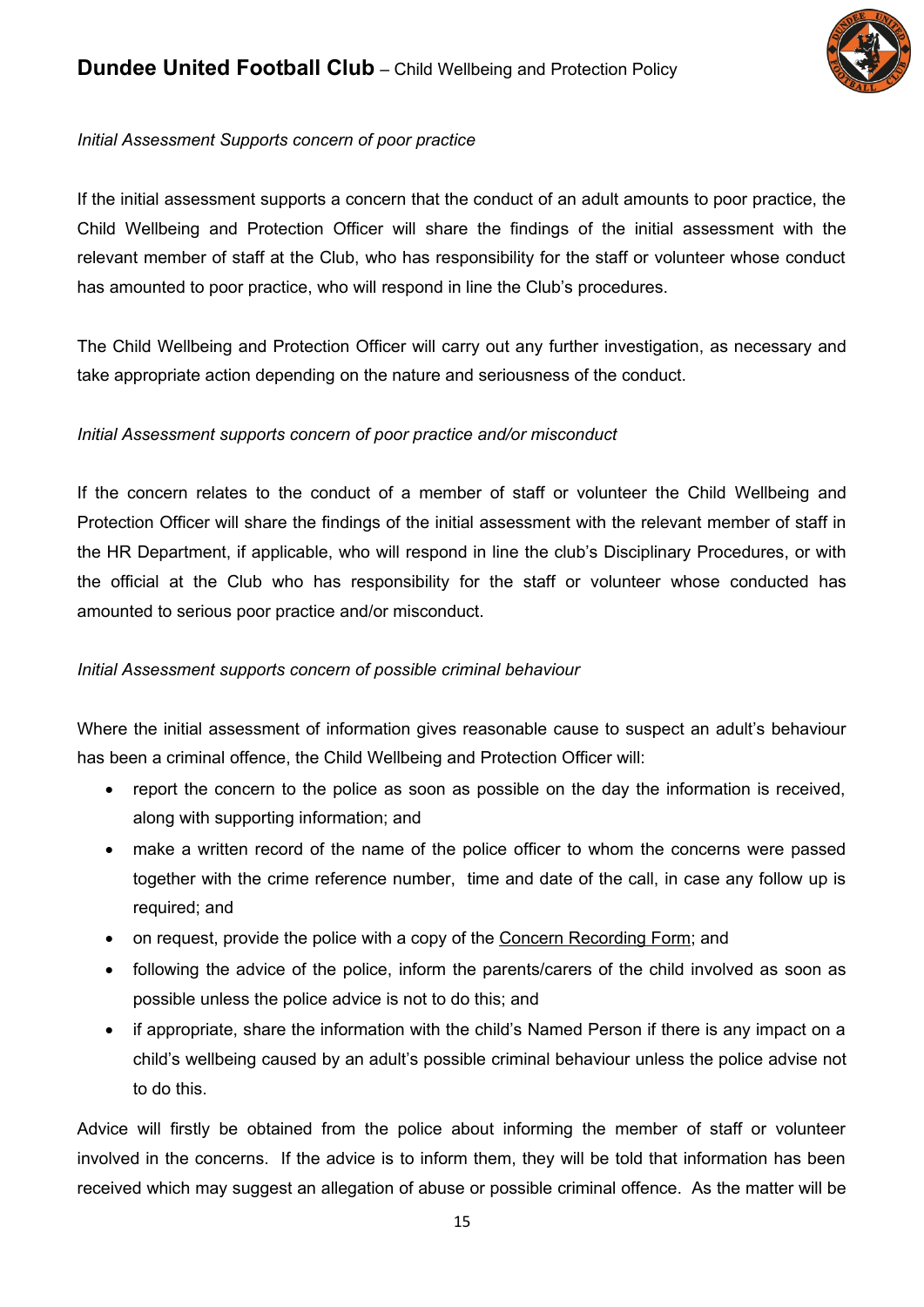

## *Initial Assessment Supports concern of poor practice*

If the initial assessment supports a concern that the conduct of an adult amounts to poor practice, the Child Wellbeing and Protection Officer will share the findings of the initial assessment with the relevant member of staff at the Club, who has responsibility for the staff or volunteer whose conduct has amounted to poor practice, who will respond in line the Club's procedures.

The Child Wellbeing and Protection Officer will carry out any further investigation, as necessary and take appropriate action depending on the nature and seriousness of the conduct.

## *Initial Assessment supports concern of poor practice and/or misconduct*

If the concern relates to the conduct of a member of staff or volunteer the Child Wellbeing and Protection Officer will share the findings of the initial assessment with the relevant member of staff in the HR Department, if applicable, who will respond in line the club's Disciplinary Procedures, or with the official at the Club who has responsibility for the staff or volunteer whose conducted has amounted to serious poor practice and/or misconduct.

## *Initial Assessment supports concern of possible criminal behaviour*

Where the initial assessment of information gives reasonable cause to suspect an adult's behaviour has been a criminal offence, the Child Wellbeing and Protection Officer will:

- report the concern to the police as soon as possible on the day the information is received, along with supporting information; and
- make a written record of the name of the police officer to whom the concerns were passed together with the crime reference number, time and date of the call, in case any follow up is required; and
- on request, provide the police with a copy of the Concern Recording Form; and
- following the advice of the police, inform the parents/carers of the child involved as soon as possible unless the police advice is not to do this; and
- if appropriate, share the information with the child's Named Person if there is any impact on a child's wellbeing caused by an adult's possible criminal behaviour unless the police advise not to do this.

Advice will firstly be obtained from the police about informing the member of staff or volunteer involved in the concerns. If the advice is to inform them, they will be told that information has been received which may suggest an allegation of abuse or possible criminal offence. As the matter will be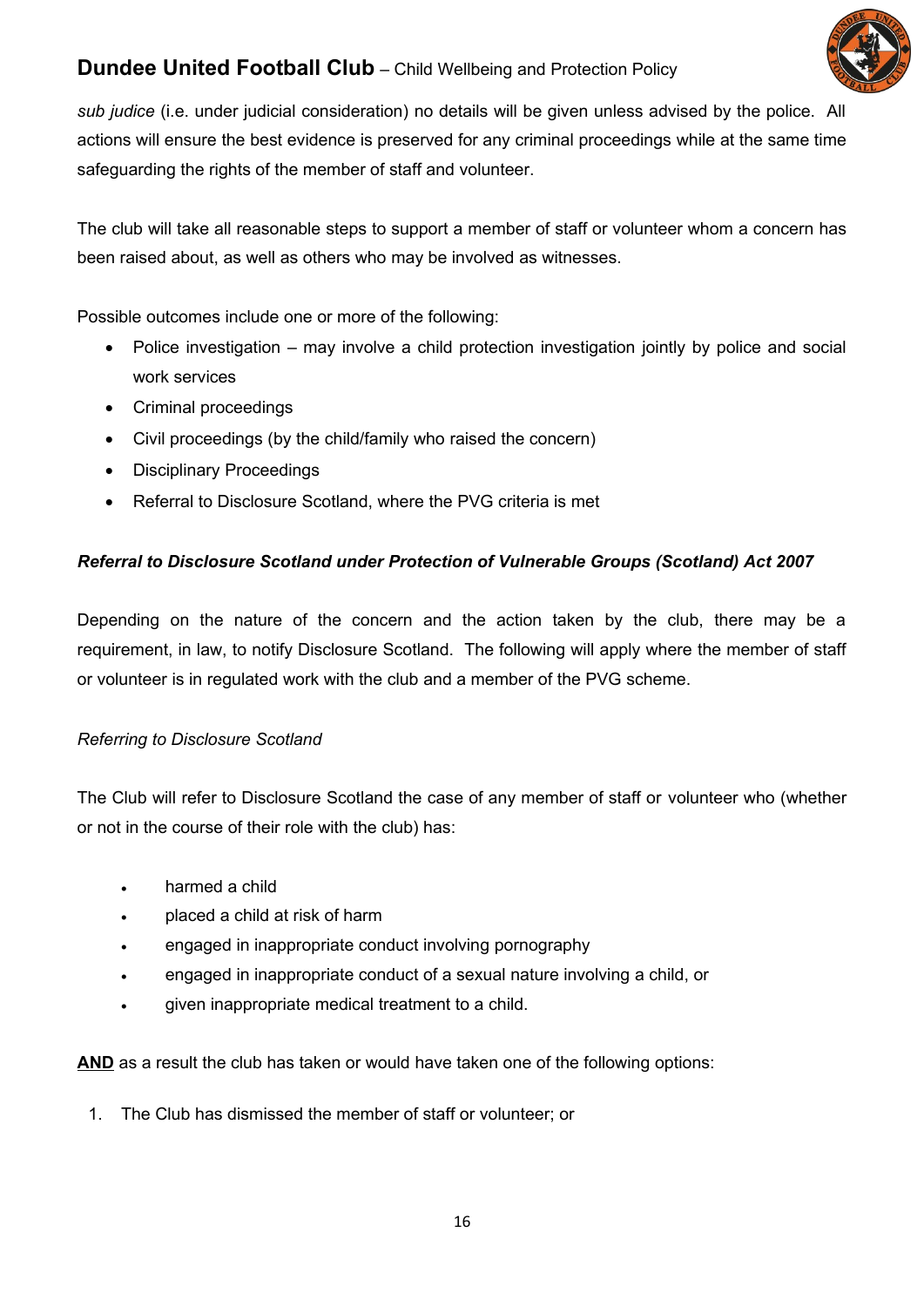

*sub judice* (i.e. under judicial consideration) no details will be given unless advised by the police. All actions will ensure the best evidence is preserved for any criminal proceedings while at the same time safeguarding the rights of the member of staff and volunteer.

The club will take all reasonable steps to support a member of staff or volunteer whom a concern has been raised about, as well as others who may be involved as witnesses.

Possible outcomes include one or more of the following:

- Police investigation may involve a child protection investigation jointly by police and social work services
- Criminal proceedings
- Civil proceedings (by the child/family who raised the concern)
- Disciplinary Proceedings
- Referral to Disclosure Scotland, where the PVG criteria is met

## *Referral to Disclosure Scotland under Protection of Vulnerable Groups (Scotland) Act 2007*

Depending on the nature of the concern and the action taken by the club, there may be a requirement, in law, to notify Disclosure Scotland. The following will apply where the member of staff or volunteer is in regulated work with the club and a member of the PVG scheme.

## *Referring to Disclosure Scotland*

The Club will refer to Disclosure Scotland the case of any member of staff or volunteer who (whether or not in the course of their role with the club) has:

- harmed a child
- placed a child at risk of harm
- engaged in inappropriate conduct involving pornography
- engaged in inappropriate conduct of a sexual nature involving a child, or
- given inappropriate medical treatment to a child.

**AND** as a result the club has taken or would have taken one of the following options:

1. The Club has dismissed the member of staff or volunteer; or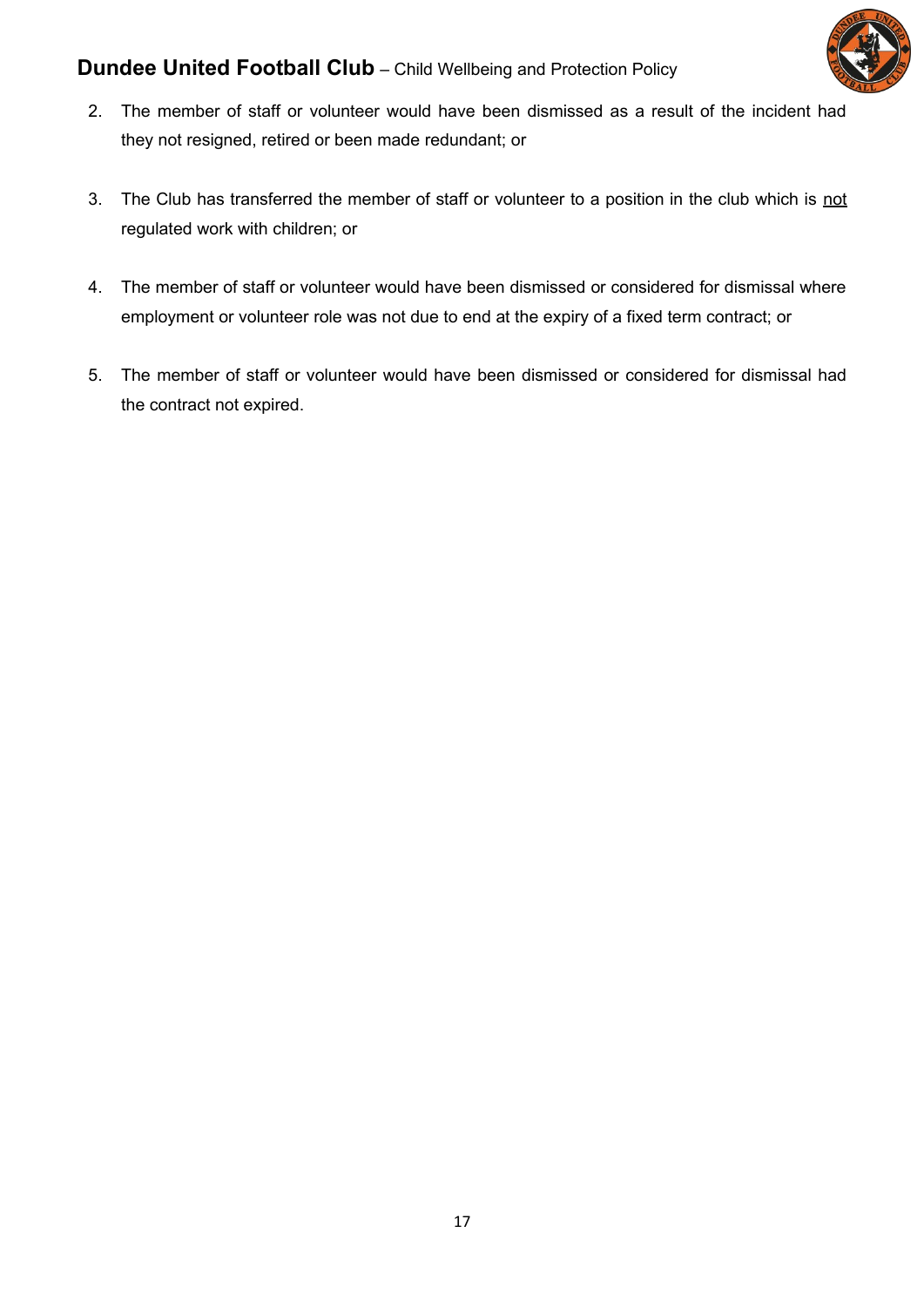

- 2. The member of staff or volunteer would have been dismissed as a result of the incident had they not resigned, retired or been made redundant; or
- 3. The Club has transferred the member of staff or volunteer to a position in the club which is not regulated work with children; or
- 4. The member of staff or volunteer would have been dismissed or considered for dismissal where employment or volunteer role was not due to end at the expiry of a fixed term contract; or
- 5. The member of staff or volunteer would have been dismissed or considered for dismissal had the contract not expired.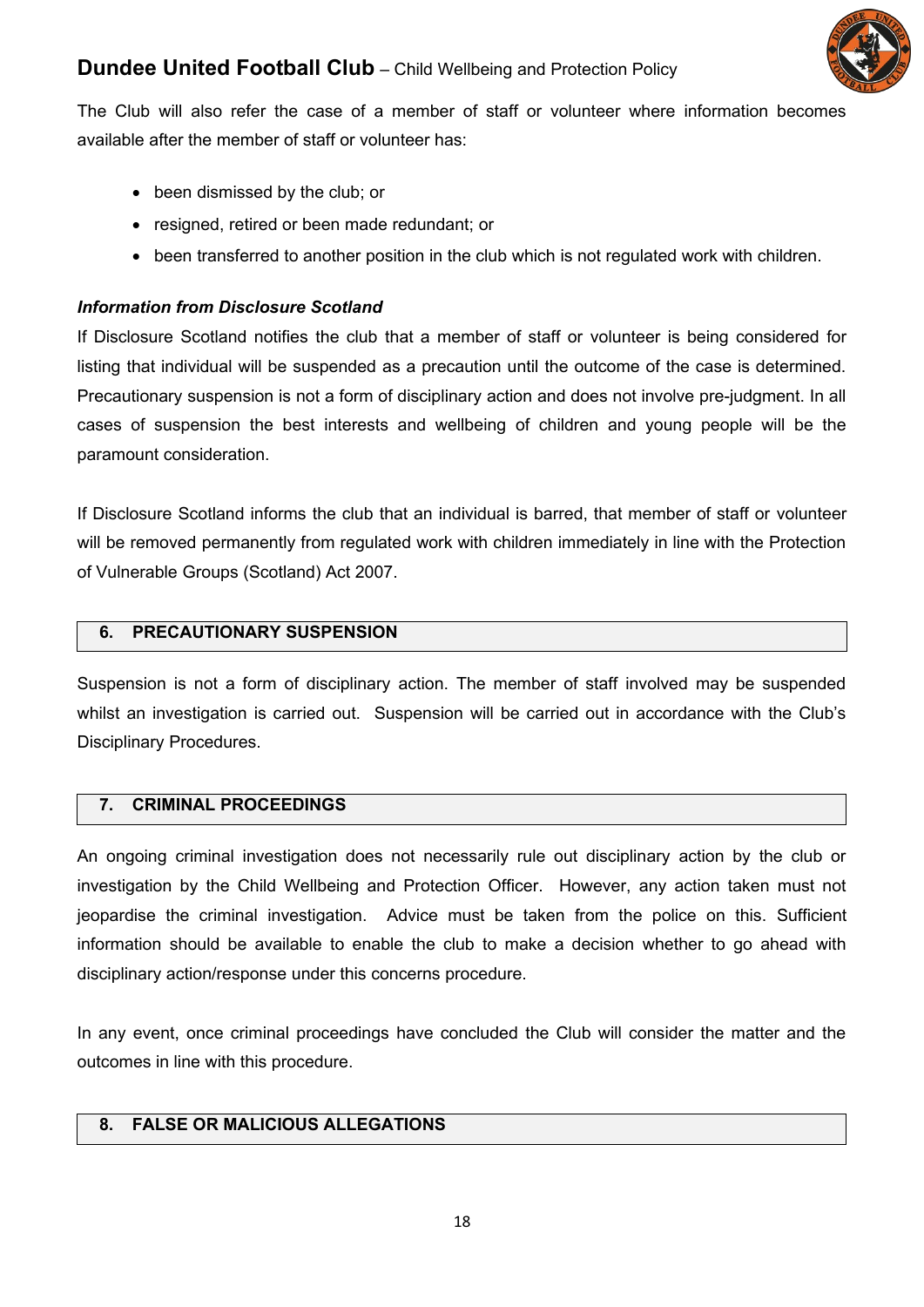

The Club will also refer the case of a member of staff or volunteer where information becomes available after the member of staff or volunteer has:

- been dismissed by the club; or
- resigned, retired or been made redundant; or
- been transferred to another position in the club which is not regulated work with children.

#### *Information from Disclosure Scotland*

If Disclosure Scotland notifies the club that a member of staff or volunteer is being considered for listing that individual will be suspended as a precaution until the outcome of the case is determined. Precautionary suspension is not a form of disciplinary action and does not involve pre-judgment. In all cases of suspension the best interests and wellbeing of children and young people will be the paramount consideration.

If Disclosure Scotland informs the club that an individual is barred, that member of staff or volunteer will be removed permanently from regulated work with children immediately in line with the Protection of Vulnerable Groups (Scotland) Act 2007.

#### **6. PRECAUTIONARY SUSPENSION**

Suspension is not a form of disciplinary action. The member of staff involved may be suspended whilst an investigation is carried out. Suspension will be carried out in accordance with the Club's Disciplinary Procedures.

#### **7. CRIMINAL PROCEEDINGS**

An ongoing criminal investigation does not necessarily rule out disciplinary action by the club or investigation by the Child Wellbeing and Protection Officer. However, any action taken must not jeopardise the criminal investigation. Advice must be taken from the police on this. Sufficient information should be available to enable the club to make a decision whether to go ahead with disciplinary action/response under this concerns procedure.

In any event, once criminal proceedings have concluded the Club will consider the matter and the outcomes in line with this procedure.

## **8. FALSE OR MALICIOUS ALLEGATIONS**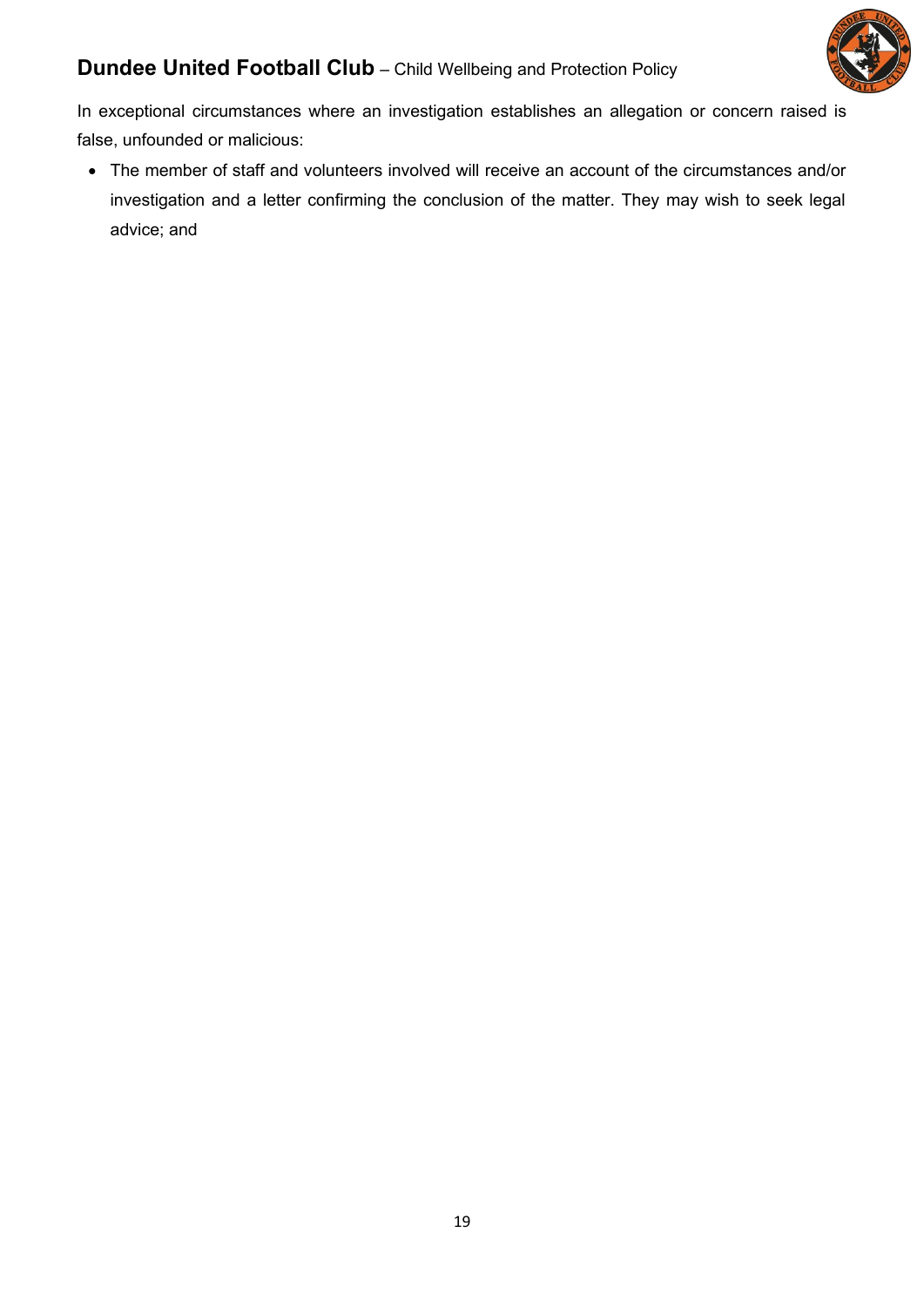

In exceptional circumstances where an investigation establishes an allegation or concern raised is false, unfounded or malicious:

 The member of staff and volunteers involved will receive an account of the circumstances and/or investigation and a letter confirming the conclusion of the matter. They may wish to seek legal advice; and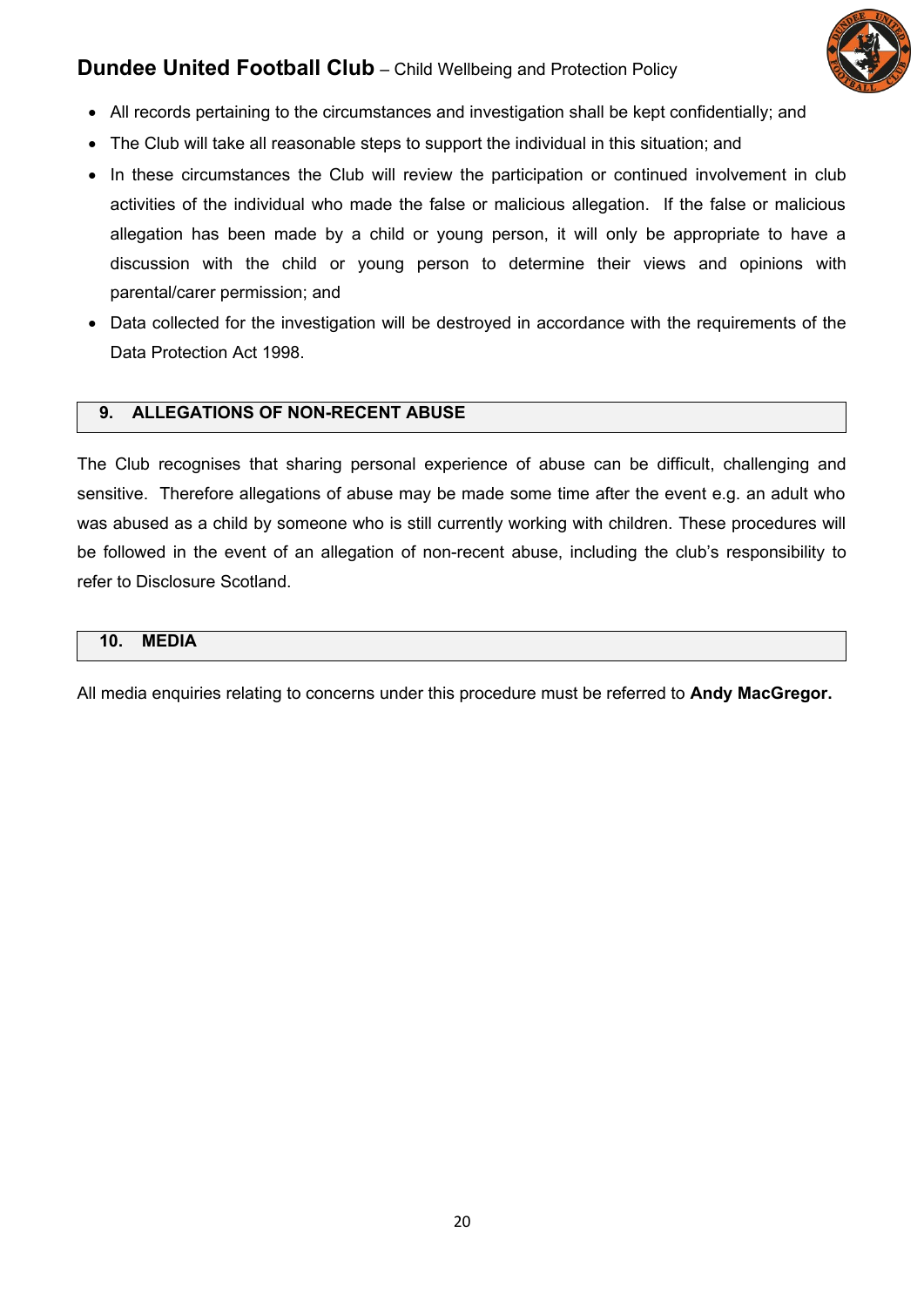

- All records pertaining to the circumstances and investigation shall be kept confidentially; and
- The Club will take all reasonable steps to support the individual in this situation; and
- In these circumstances the Club will review the participation or continued involvement in club activities of the individual who made the false or malicious allegation. If the false or malicious allegation has been made by a child or young person, it will only be appropriate to have a discussion with the child or young person to determine their views and opinions with parental/carer permission; and
- Data collected for the investigation will be destroyed in accordance with the requirements of the Data Protection Act 1998.

## **9. ALLEGATIONS OF NON-RECENT ABUSE**

The Club recognises that sharing personal experience of abuse can be difficult, challenging and sensitive. Therefore allegations of abuse may be made some time after the event e.g. an adult who was abused as a child by someone who is still currently working with children. These procedures will be followed in the event of an allegation of non-recent abuse, including the club's responsibility to refer to Disclosure Scotland.

#### **10. MEDIA**

All media enquiries relating to concerns under this procedure must be referred to **Andy MacGregor.**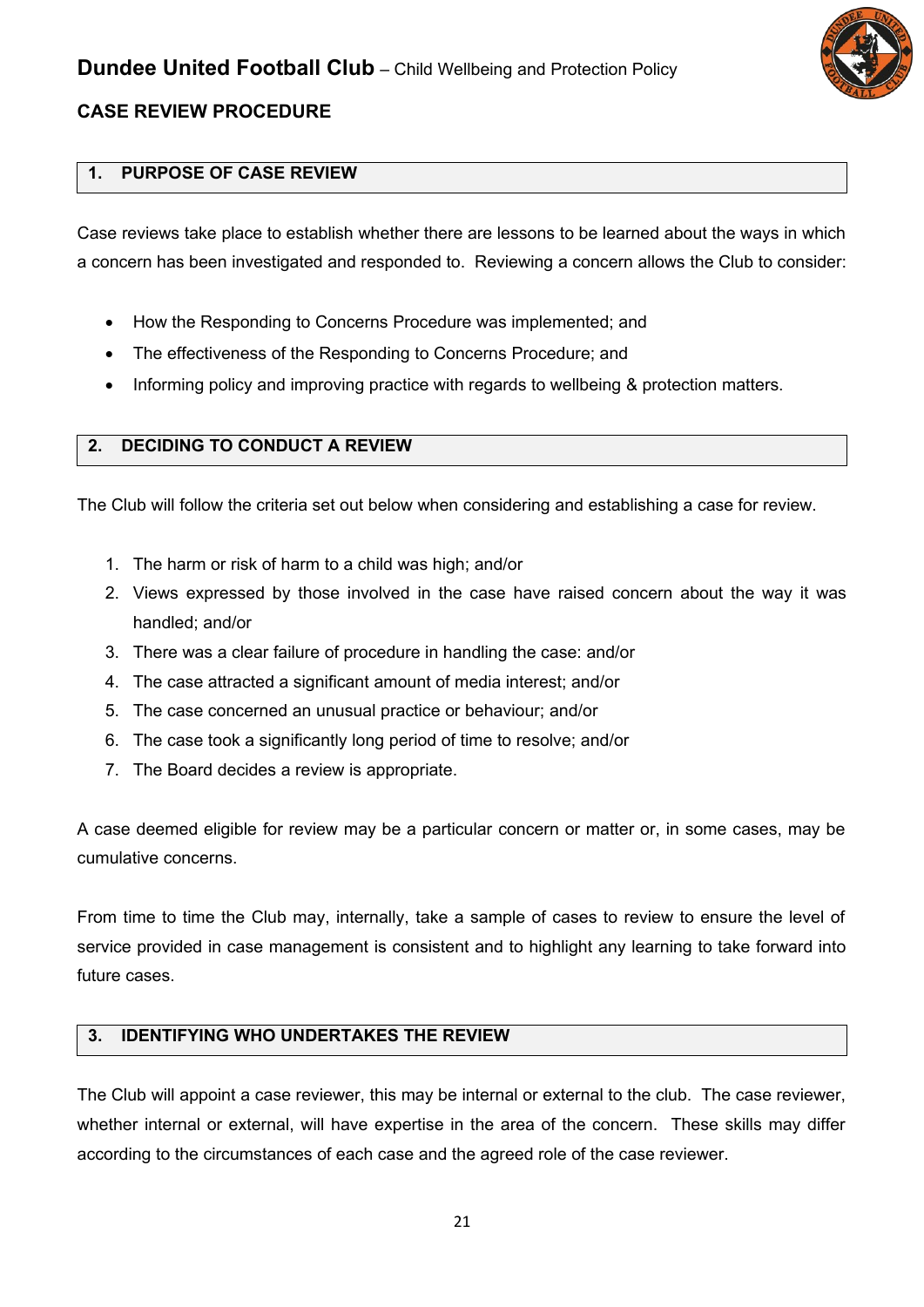

## **CASE REVIEW PROCEDURE**

## **1. PURPOSE OF CASE REVIEW**

Case reviews take place to establish whether there are lessons to be learned about the ways in which a concern has been investigated and responded to. Reviewing a concern allows the Club to consider:

- How the Responding to Concerns Procedure was implemented; and
- The effectiveness of the Responding to Concerns Procedure; and
- Informing policy and improving practice with regards to wellbeing & protection matters.

#### **2. DECIDING TO CONDUCT A REVIEW**

The Club will follow the criteria set out below when considering and establishing a case for review.

- 1. The harm or risk of harm to a child was high; and/or
- 2. Views expressed by those involved in the case have raised concern about the way it was handled; and/or
- 3. There was a clear failure of procedure in handling the case: and/or
- 4. The case attracted a significant amount of media interest; and/or
- 5. The case concerned an unusual practice or behaviour; and/or
- 6. The case took a significantly long period of time to resolve; and/or
- 7. The Board decides a review is appropriate.

A case deemed eligible for review may be a particular concern or matter or, in some cases, may be cumulative concerns.

From time to time the Club may, internally, take a sample of cases to review to ensure the level of service provided in case management is consistent and to highlight any learning to take forward into future cases.

#### **3. IDENTIFYING WHO UNDERTAKES THE REVIEW**

The Club will appoint a case reviewer, this may be internal or external to the club. The case reviewer, whether internal or external, will have expertise in the area of the concern. These skills may differ according to the circumstances of each case and the agreed role of the case reviewer.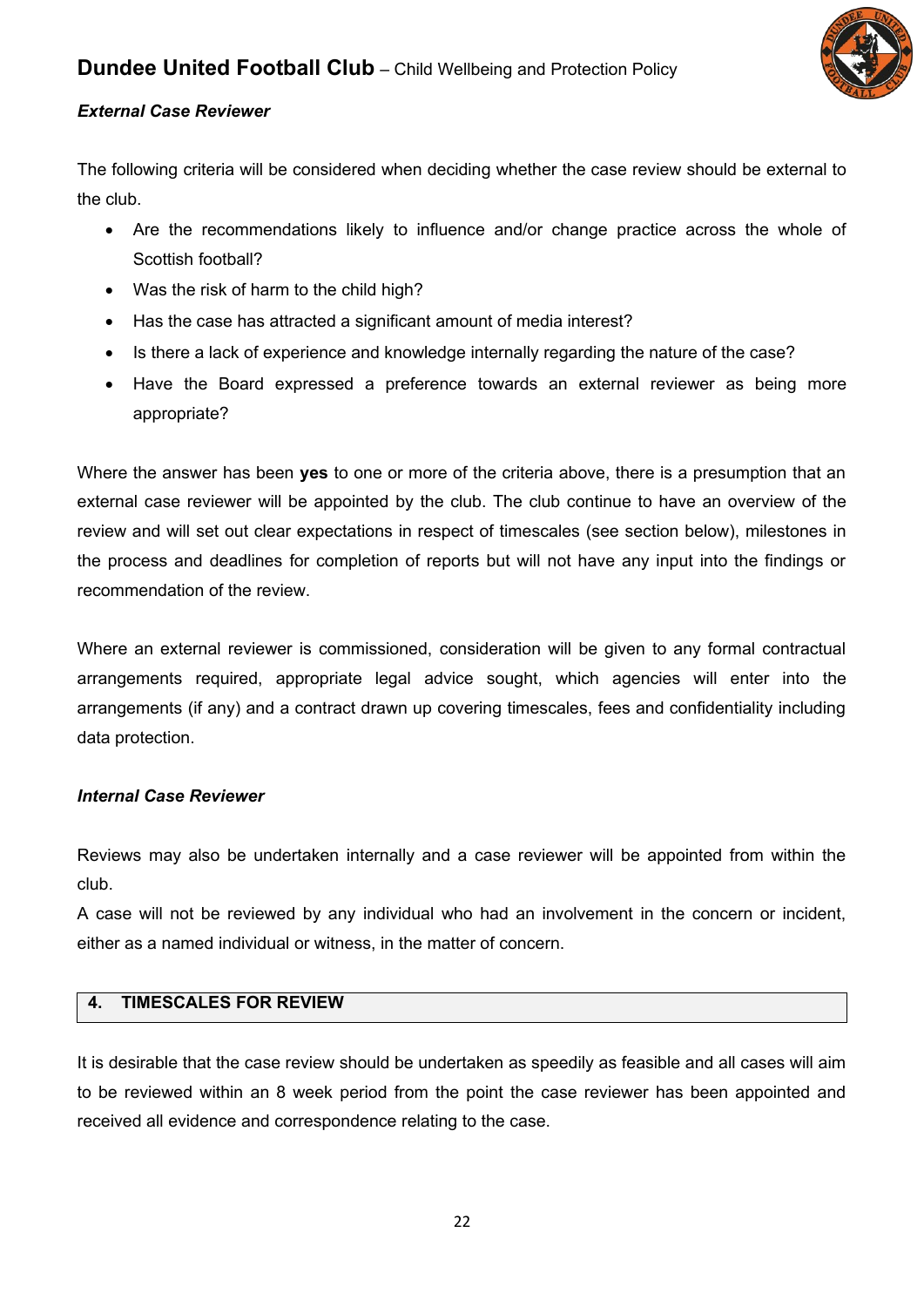

## *External Case Reviewer*

The following criteria will be considered when deciding whether the case review should be external to the club.

- Are the recommendations likely to influence and/or change practice across the whole of Scottish football?
- Was the risk of harm to the child high?
- Has the case has attracted a significant amount of media interest?
- Is there a lack of experience and knowledge internally regarding the nature of the case?
- Have the Board expressed a preference towards an external reviewer as being more appropriate?

Where the answer has been **yes** to one or more of the criteria above, there is a presumption that an external case reviewer will be appointed by the club. The club continue to have an overview of the review and will set out clear expectations in respect of timescales (see section below), milestones in the process and deadlines for completion of reports but will not have any input into the findings or recommendation of the review.

Where an external reviewer is commissioned, consideration will be given to any formal contractual arrangements required, appropriate legal advice sought, which agencies will enter into the arrangements (if any) and a contract drawn up covering timescales, fees and confidentiality including data protection.

#### *Internal Case Reviewer*

Reviews may also be undertaken internally and a case reviewer will be appointed from within the club.

A case will not be reviewed by any individual who had an involvement in the concern or incident, either as a named individual or witness, in the matter of concern.

## **4. TIMESCALES FOR REVIEW**

It is desirable that the case review should be undertaken as speedily as feasible and all cases will aim to be reviewed within an 8 week period from the point the case reviewer has been appointed and received all evidence and correspondence relating to the case.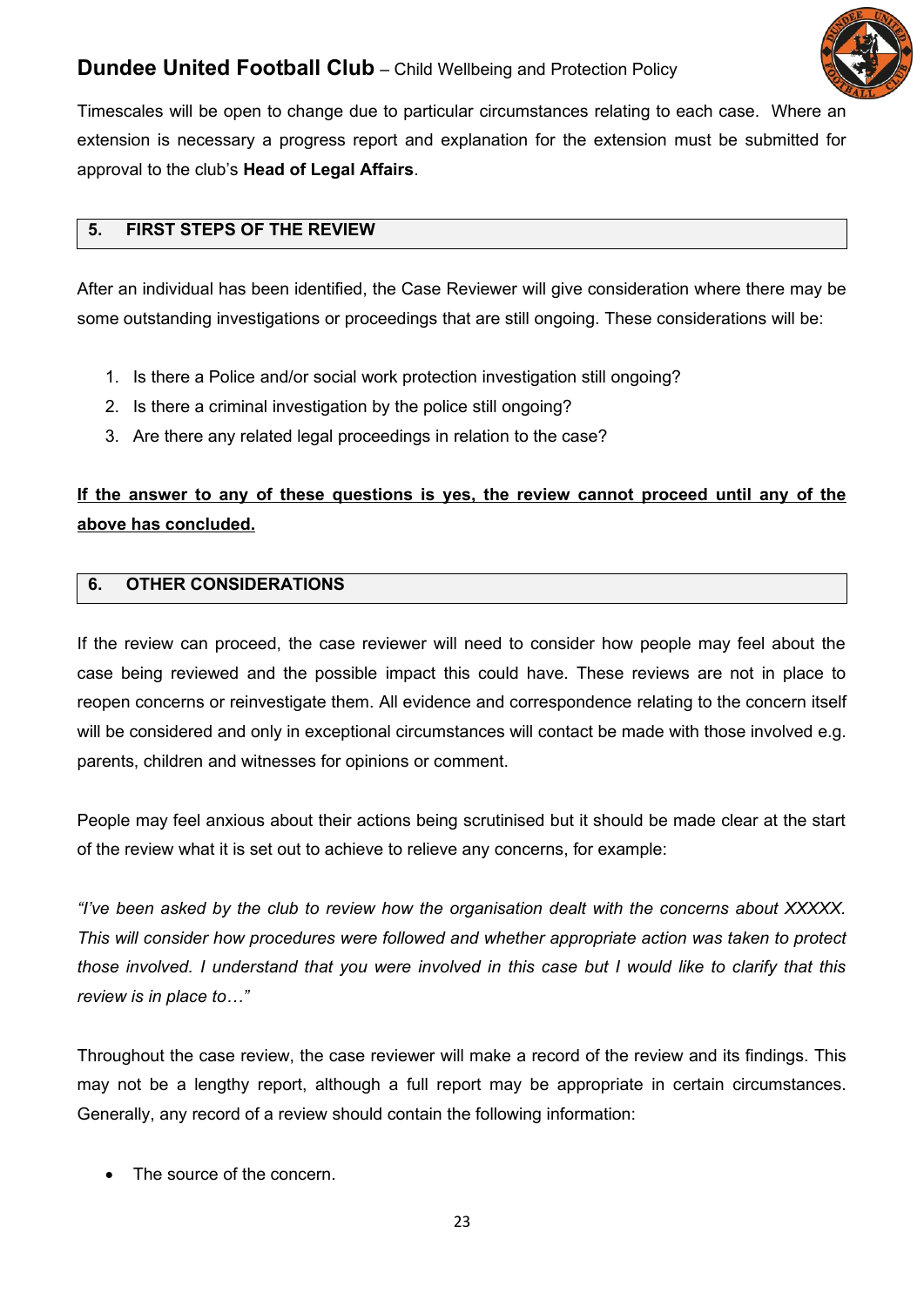

Timescales will be open to change due to particular circumstances relating to each case. Where an extension is necessary a progress report and explanation for the extension must be submitted for approval to the club's **Head of Legal Affairs**.

## **5. FIRST STEPS OF THE REVIEW**

After an individual has been identified, the Case Reviewer will give consideration where there may be some outstanding investigations or proceedings that are still ongoing. These considerations will be:

- 1. Is there a Police and/or social work protection investigation still ongoing?
- 2. Is there a criminal investigation by the police still ongoing?
- 3. Are there any related legal proceedings in relation to the case?

## **If the answer to any of these questions is yes, the review cannot proceed until any of the above has concluded.**

## **6. OTHER CONSIDERATIONS**

If the review can proceed, the case reviewer will need to consider how people may feel about the case being reviewed and the possible impact this could have. These reviews are not in place to reopen concerns or reinvestigate them. All evidence and correspondence relating to the concern itself will be considered and only in exceptional circumstances will contact be made with those involved e.g. parents, children and witnesses for opinions or comment.

People may feel anxious about their actions being scrutinised but it should be made clear at the start of the review what it is set out to achieve to relieve any concerns, for example:

*"I've been asked by the club to review how the organisation dealt with the concerns about XXXXX. This will consider how procedures were followed and whether appropriate action was taken to protect those involved. I understand that you were involved in this case but I would like to clarify that this review is in place to…"*

Throughout the case review, the case reviewer will make a record of the review and its findings. This may not be a lengthy report, although a full report may be appropriate in certain circumstances. Generally, any record of a review should contain the following information:

The source of the concern.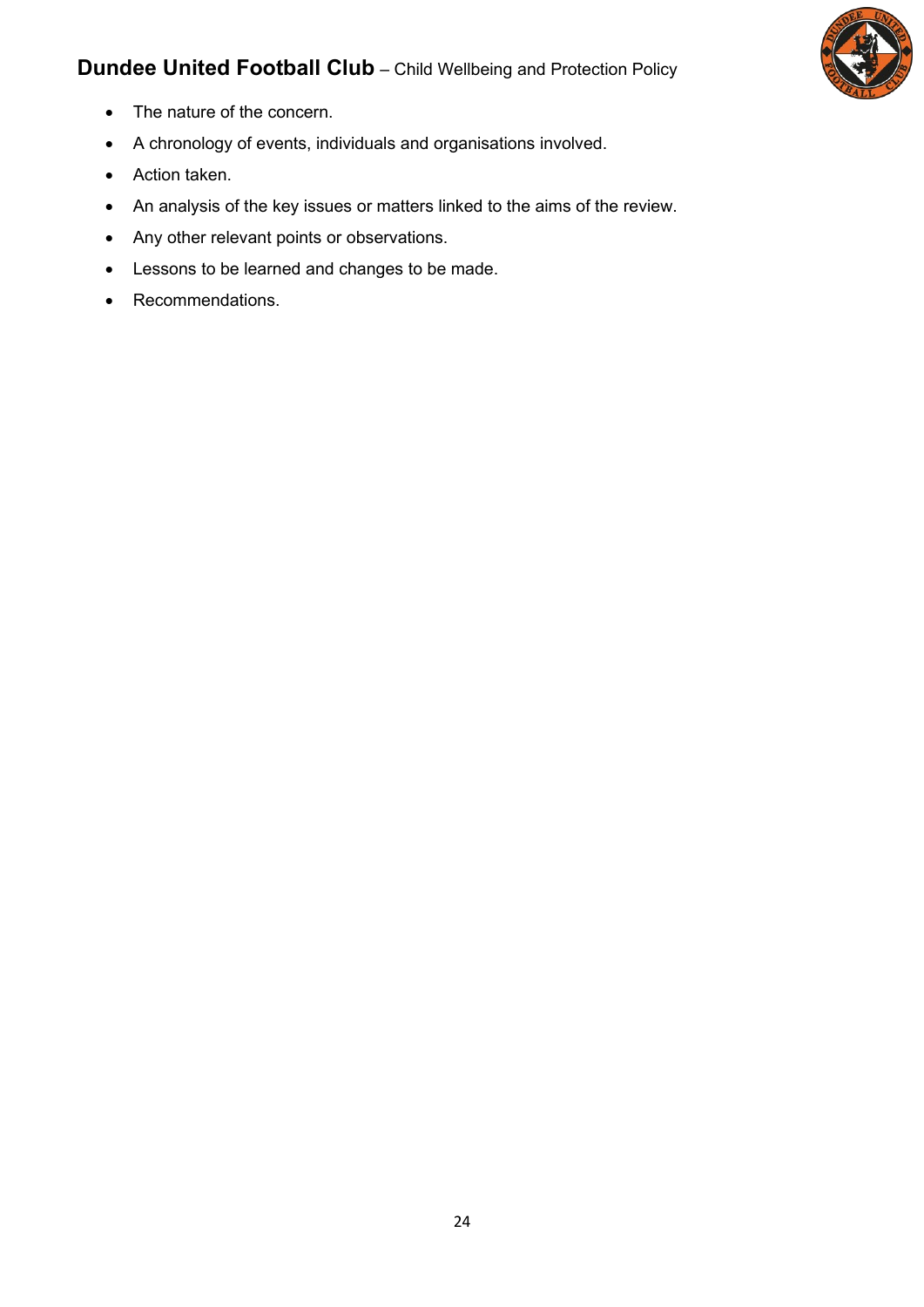

- The nature of the concern.
- A chronology of events, individuals and organisations involved.
- Action taken.
- An analysis of the key issues or matters linked to the aims of the review.
- Any other relevant points or observations.
- Lessons to be learned and changes to be made.
- Recommendations.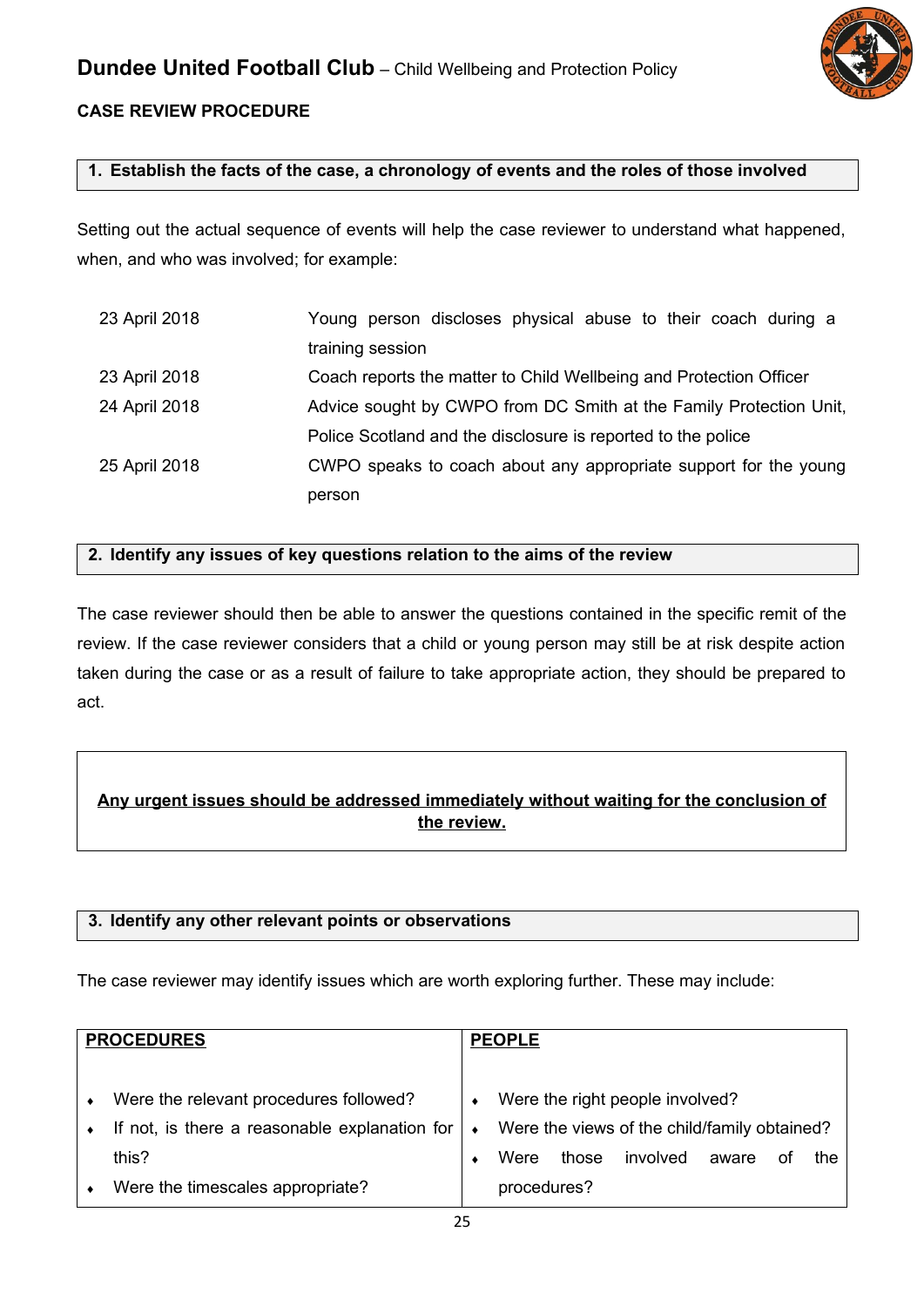

## **CASE REVIEW PROCEDURE**

## **1. Establish the facts of the case, a chronology of events and the roles of those involved**

Setting out the actual sequence of events will help the case reviewer to understand what happened, when, and who was involved; for example:

| 23 April 2018 | Young person discloses physical abuse to their coach during a      |  |  |  |
|---------------|--------------------------------------------------------------------|--|--|--|
|               | training session                                                   |  |  |  |
| 23 April 2018 | Coach reports the matter to Child Wellbeing and Protection Officer |  |  |  |
| 24 April 2018 | Advice sought by CWPO from DC Smith at the Family Protection Unit, |  |  |  |
|               | Police Scotland and the disclosure is reported to the police       |  |  |  |
| 25 April 2018 | CWPO speaks to coach about any appropriate support for the young   |  |  |  |
|               | person                                                             |  |  |  |

#### **2. Identify any issues of key questions relation to the aims of the review**

The case reviewer should then be able to answer the questions contained in the specific remit of the review. If the case reviewer considers that a child or young person may still be at risk despite action taken during the case or as a result of failure to take appropriate action, they should be prepared to act.

## **Any urgent issues should be addressed immediately without waiting for the conclusion of the review.**

## **3. Identify any other relevant points or observations**

The case reviewer may identify issues which are worth exploring further. These may include:

| <b>PROCEDURES</b> |                                                                                         | <b>PEOPLE</b> |             |       |                                                                                 |       |    |     |  |
|-------------------|-----------------------------------------------------------------------------------------|---------------|-------------|-------|---------------------------------------------------------------------------------|-------|----|-----|--|
|                   | Were the relevant procedures followed?<br>If not, is there a reasonable explanation for | $\bullet$     |             |       | Were the right people involved?<br>Were the views of the child/family obtained? |       |    |     |  |
|                   | this?                                                                                   |               | Were        | those | involved                                                                        | aware | οt | the |  |
|                   | Were the timescales appropriate?                                                        |               | procedures? |       |                                                                                 |       |    |     |  |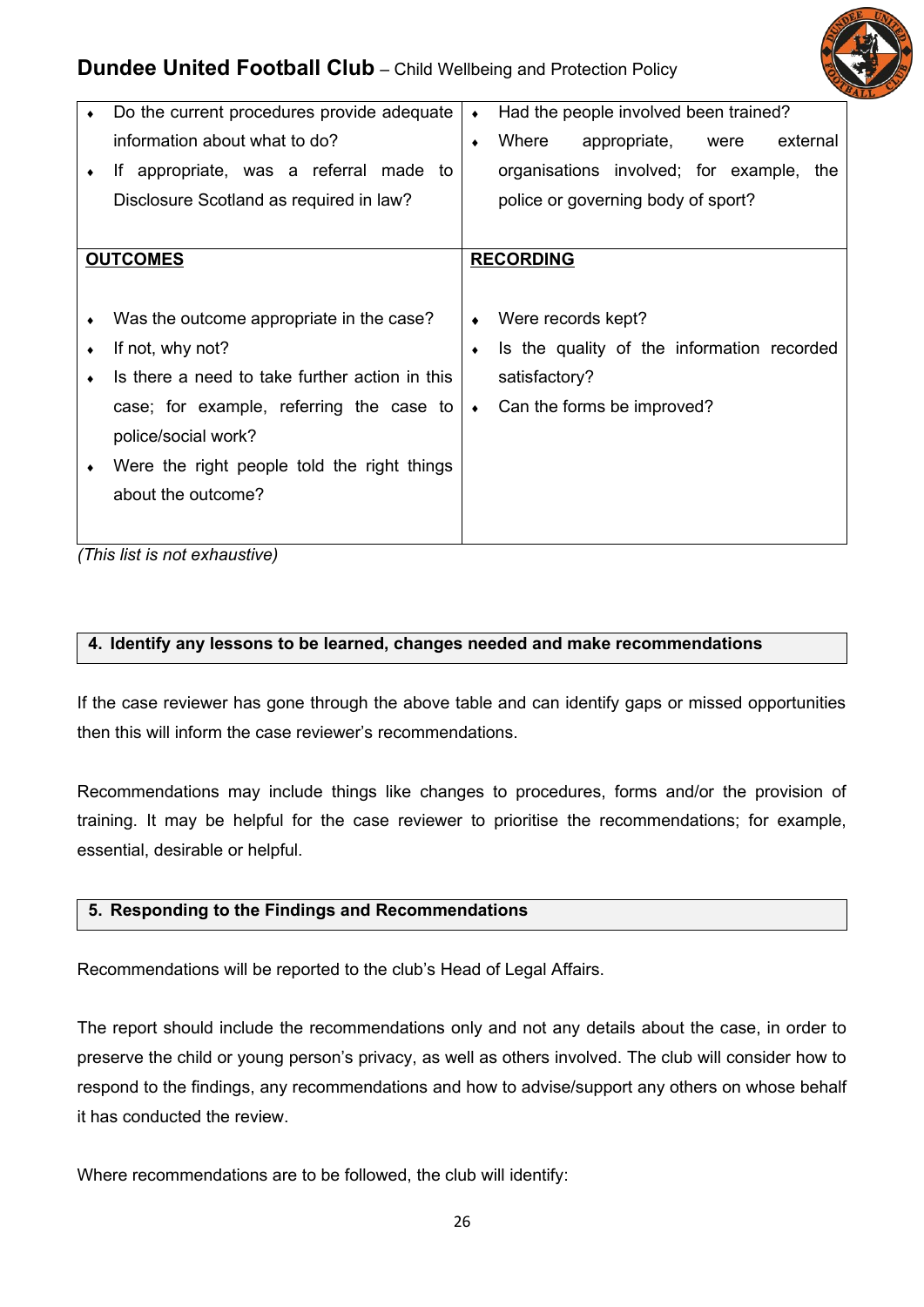

|           | Do the current procedures provide adequate     | $\bullet$ | Had the people involved been trained?      |
|-----------|------------------------------------------------|-----------|--------------------------------------------|
|           | information about what to do?                  | $\bullet$ | Where<br>appropriate,<br>external<br>were  |
| $\bullet$ | If appropriate, was a referral made to         |           | organisations involved; for example, the   |
|           | Disclosure Scotland as required in law?        |           | police or governing body of sport?         |
|           |                                                |           |                                            |
|           | <b>OUTCOMES</b>                                |           | <b>RECORDING</b>                           |
|           |                                                |           |                                            |
|           | Was the outcome appropriate in the case?       | ٠         | Were records kept?                         |
|           | If not, why not?                               | $\bullet$ | Is the quality of the information recorded |
|           | Is there a need to take further action in this |           | satisfactory?                              |
|           | case; for example, referring the case to       | $\bullet$ | Can the forms be improved?                 |
|           | police/social work?                            |           |                                            |
|           | Were the right people told the right things    |           |                                            |
|           | about the outcome?                             |           |                                            |
|           |                                                |           |                                            |
|           | (This line to not avhomomial)                  |           |                                            |

*(This list is not exhaustive)*

#### **4. Identify any lessons to be learned, changes needed and make recommendations**

If the case reviewer has gone through the above table and can identify gaps or missed opportunities then this will inform the case reviewer's recommendations.

Recommendations may include things like changes to procedures, forms and/or the provision of training. It may be helpful for the case reviewer to prioritise the recommendations; for example, essential, desirable or helpful.

## **5. Responding to the Findings and Recommendations**

Recommendations will be reported to the club's Head of Legal Affairs.

The report should include the recommendations only and not any details about the case, in order to preserve the child or young person's privacy, as well as others involved. The club will consider how to respond to the findings, any recommendations and how to advise/support any others on whose behalf it has conducted the review.

Where recommendations are to be followed, the club will identify: